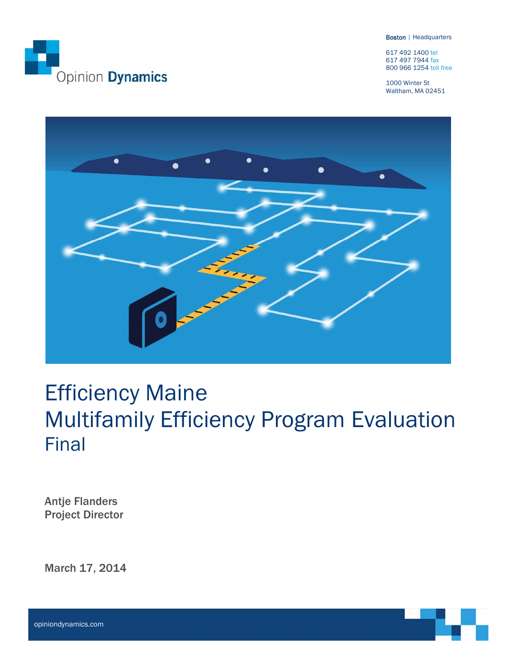

Boston | Headquarters

617 492 1400 tel 617 497 7944 fax 800 966 1254 toll free

1000 Winter St Waltham, MA 02451



# Efficiency Maine Multifamily Efficiency Program Evaluation Final

Antje Flanders Project Director

March 17, 2014



opiniondynamics.com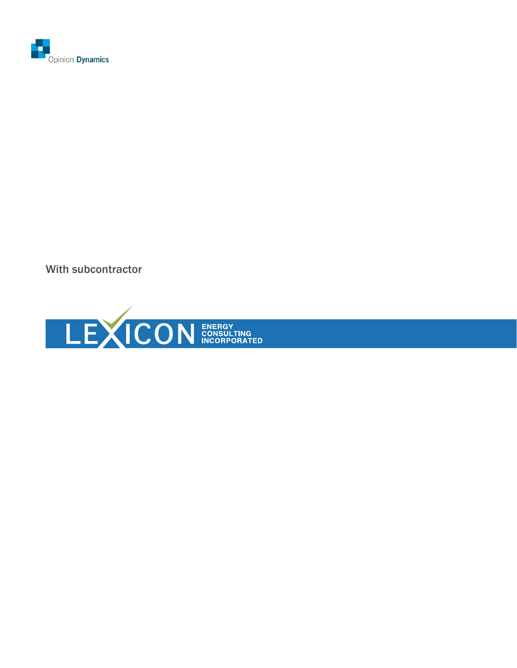

With subcontractor

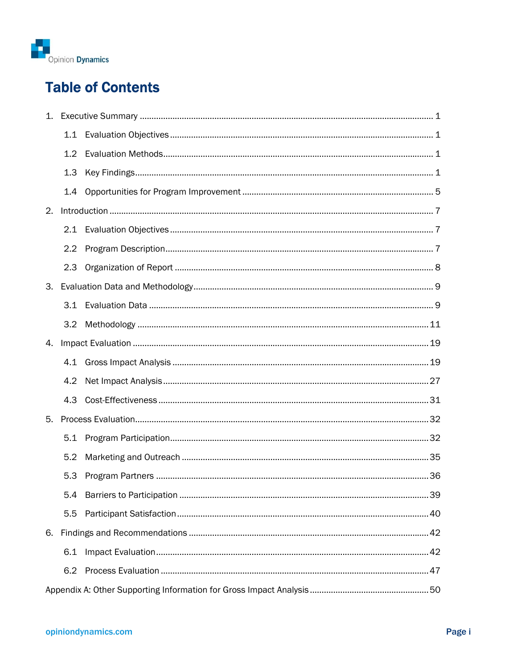

# **Table of Contents**

| 1. |     |  |
|----|-----|--|
|    | 1.1 |  |
|    | 1.2 |  |
|    | 1.3 |  |
|    | 1.4 |  |
| 2. |     |  |
|    | 2.1 |  |
|    | 2.2 |  |
|    | 2.3 |  |
| 3. |     |  |
|    | 3.1 |  |
|    | 3.2 |  |
| 4. |     |  |
|    | 4.1 |  |
|    | 4.2 |  |
|    | 4.3 |  |
| 5. |     |  |
|    | 5.1 |  |
|    | 5.2 |  |
|    | 5.3 |  |
|    | 5.4 |  |
|    | 5.5 |  |
| 6. |     |  |
|    | 6.1 |  |
|    | 6.2 |  |
|    |     |  |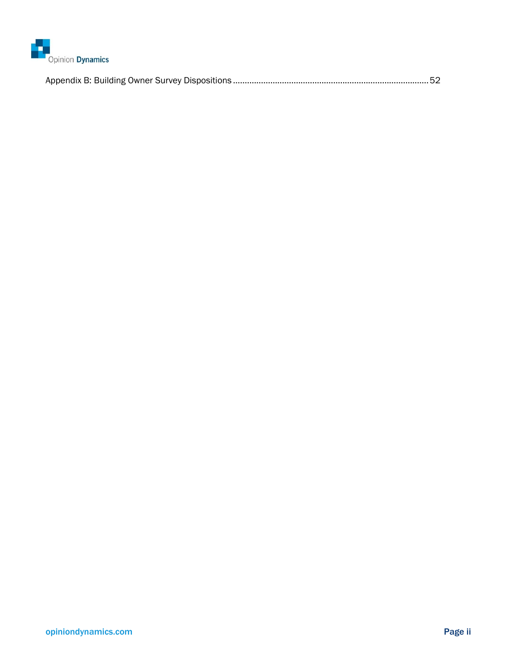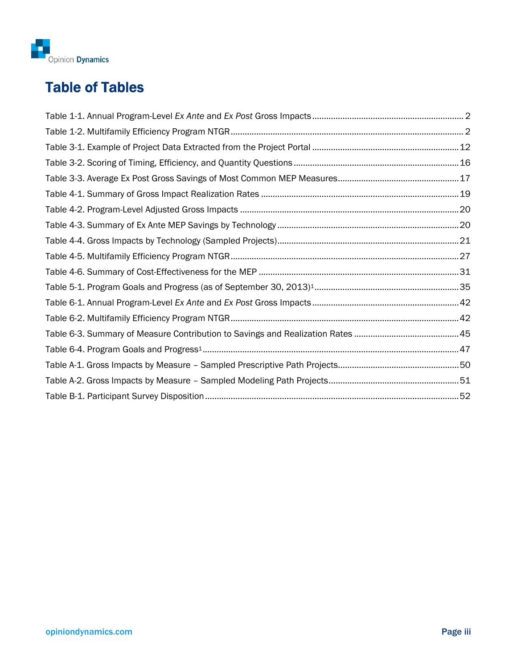

# Table of Tables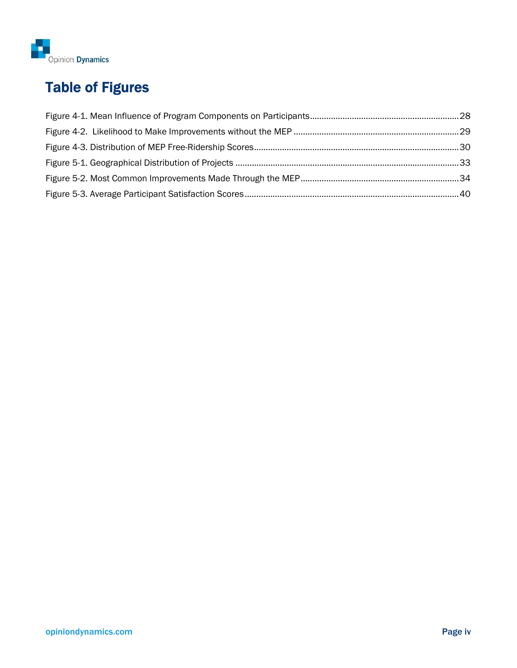

# Table of Figures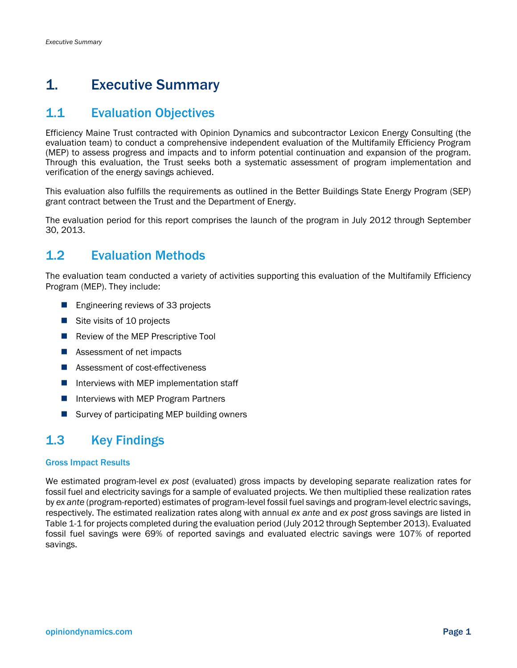## 1. Executive Summary

## 1.1 Evaluation Objectives

Efficiency Maine Trust contracted with Opinion Dynamics and subcontractor Lexicon Energy Consulting (the evaluation team) to conduct a comprehensive independent evaluation of the Multifamily Efficiency Program (MEP) to assess progress and impacts and to inform potential continuation and expansion of the program. Through this evaluation, the Trust seeks both a systematic assessment of program implementation and verification of the energy savings achieved.

This evaluation also fulfills the requirements as outlined in the Better Buildings State Energy Program (SEP) grant contract between the Trust and the Department of Energy.

The evaluation period for this report comprises the launch of the program in July 2012 through September 30, 2013.

## 1.2 Evaluation Methods

The evaluation team conducted a variety of activities supporting this evaluation of the Multifamily Efficiency Program (MEP). They include:

- Engineering reviews of 33 projects
- Site visits of 10 projects
- Review of the MEP Prescriptive Tool
- Assessment of net impacts
- Assessment of cost-effectiveness
- $\blacksquare$  Interviews with MEP implementation staff
- **Interviews with MEP Program Partners**
- Survey of participating MEP building owners

## 1.3 Key Findings

#### Gross Impact Results

We estimated program-level *ex post* (evaluated) gross impacts by developing separate realization rates for fossil fuel and electricity savings for a sample of evaluated projects. We then multiplied these realization rates by *ex ante* (program-reported) estimates of program-level fossil fuel savings and program-level electric savings, respectively. The estimated realization rates along with annual *ex ante* and *ex post* gross savings are listed in Table 1-1 for projects completed during the evaluation period (July 2012 through September 2013). Evaluated fossil fuel savings were 69% of reported savings and evaluated electric savings were 107% of reported savings.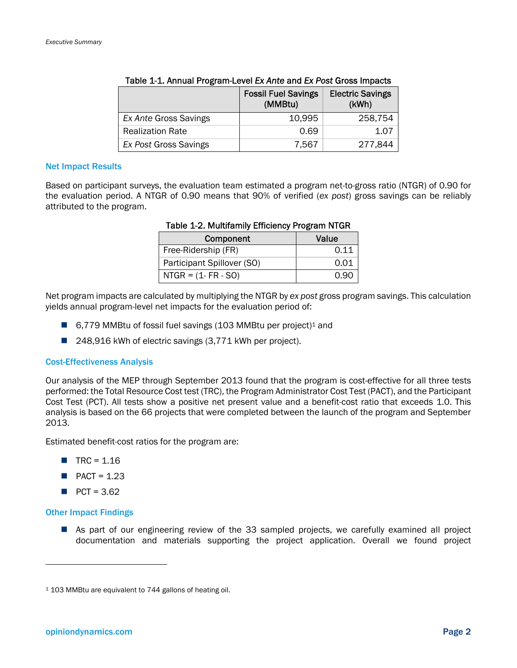|                         | <b>Fossil Fuel Savings</b><br>(MMBtu) | <b>Electric Savings</b><br>(KWh) |
|-------------------------|---------------------------------------|----------------------------------|
| Ex Ante Gross Savings   | 10.995                                | 258,754                          |
| <b>Realization Rate</b> | 0.69                                  | 1.07                             |
| Ex Post Gross Savings   | 7,567                                 | 277,844                          |

#### Table 1-1. Annual Program-Level *Ex Ante* and *Ex Post* Gross Impacts

#### Net Impact Results

Based on participant surveys, the evaluation team estimated a program net-to-gross ratio (NTGR) of 0.90 for the evaluation period. A NTGR of 0.90 means that 90% of verified (*ex post*) gross savings can be reliably attributed to the program.

| Component                  | Value |
|----------------------------|-------|
| Free-Ridership (FR)        | 0.11  |
| Participant Spillover (SO) | 0.01  |
| $NTGR = (1 - FR - SO)$     |       |

#### Table 1-2. Multifamily Efficiency Program NTGR

Net program impacts are calculated by multiplying the NTGR by *ex post* gross program savings. This calculation yields annual program-level net impacts for the evaluation period of:

- 6,779 MMBtu of fossil fuel savings (103 MMBtu per project)<sup>1</sup> and
- 248,916 kWh of electric savings (3,771 kWh per project).

#### Cost-Effectiveness Analysis

Our analysis of the MEP through September 2013 found that the program is cost-effective for all three tests performed: the Total Resource Cost test (TRC), the Program Administrator Cost Test (PACT), and the Participant Cost Test (PCT). All tests show a positive net present value and a benefit-cost ratio that exceeds 1.0. This analysis is based on the 66 projects that were completed between the launch of the program and September 2013.

Estimated benefit-cost ratios for the program are:

- $\blacksquare$  TRC = 1.16
- $\blacksquare$  PACT = 1.23
- $PCT = 3.62$

#### Other Impact Findings

1

 As part of our engineering review of the 33 sampled projects, we carefully examined all project documentation and materials supporting the project application. Overall we found project

<sup>1 103</sup> MMBtu are equivalent to 744 gallons of heating oil.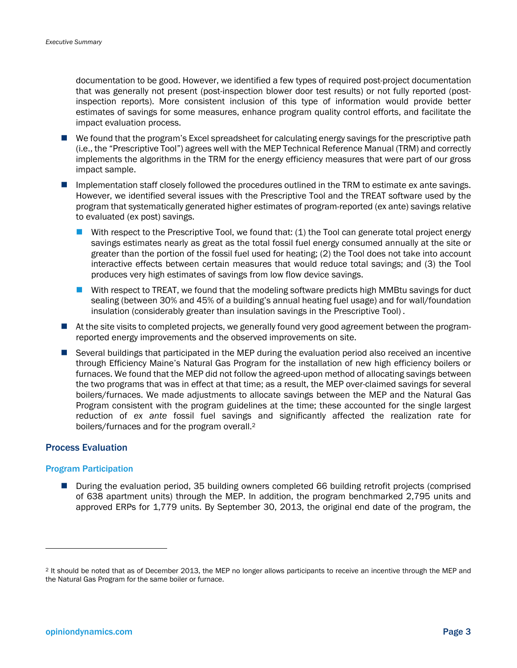documentation to be good. However, we identified a few types of required post-project documentation that was generally not present (post-inspection blower door test results) or not fully reported (postinspection reports). More consistent inclusion of this type of information would provide better estimates of savings for some measures, enhance program quality control efforts, and facilitate the impact evaluation process.

- We found that the program's Excel spreadsheet for calculating energy savings for the prescriptive path (i.e., the "Prescriptive Tool") agrees well with the MEP Technical Reference Manual (TRM) and correctly implements the algorithms in the TRM for the energy efficiency measures that were part of our gross impact sample.
- Implementation staff closely followed the procedures outlined in the TRM to estimate ex ante savings. However, we identified several issues with the Prescriptive Tool and the TREAT software used by the program that systematically generated higher estimates of program-reported (ex ante) savings relative to evaluated (ex post) savings.
	- With respect to the Prescriptive Tool, we found that: (1) the Tool can generate total project energy savings estimates nearly as great as the total fossil fuel energy consumed annually at the site or greater than the portion of the fossil fuel used for heating; (2) the Tool does not take into account interactive effects between certain measures that would reduce total savings; and (3) the Tool produces very high estimates of savings from low flow device savings.
	- With respect to TREAT, we found that the modeling software predicts high MMBtu savings for duct sealing (between 30% and 45% of a building's annual heating fuel usage) and for wall/foundation insulation (considerably greater than insulation savings in the Prescriptive Tool) .
- $\blacksquare$  At the site visits to completed projects, we generally found very good agreement between the programreported energy improvements and the observed improvements on site.
- Several buildings that participated in the MEP during the evaluation period also received an incentive through Efficiency Maine's Natural Gas Program for the installation of new high efficiency boilers or furnaces. We found that the MEP did not follow the agreed-upon method of allocating savings between the two programs that was in effect at that time; as a result, the MEP over-claimed savings for several boilers/furnaces. We made adjustments to allocate savings between the MEP and the Natural Gas Program consistent with the program guidelines at the time; these accounted for the single largest reduction of *ex ante* fossil fuel savings and significantly affected the realization rate for boilers/furnaces and for the program overall.2

#### Process Evaluation

#### Program Participation

**During the evaluation period, 35 building owners completed 66 building retrofit projects (comprised)** of 638 apartment units) through the MEP. In addition, the program benchmarked 2,795 units and approved ERPs for 1,779 units. By September 30, 2013, the original end date of the program, the

1

<sup>2</sup> It should be noted that as of December 2013, the MEP no longer allows participants to receive an incentive through the MEP and the Natural Gas Program for the same boiler or furnace.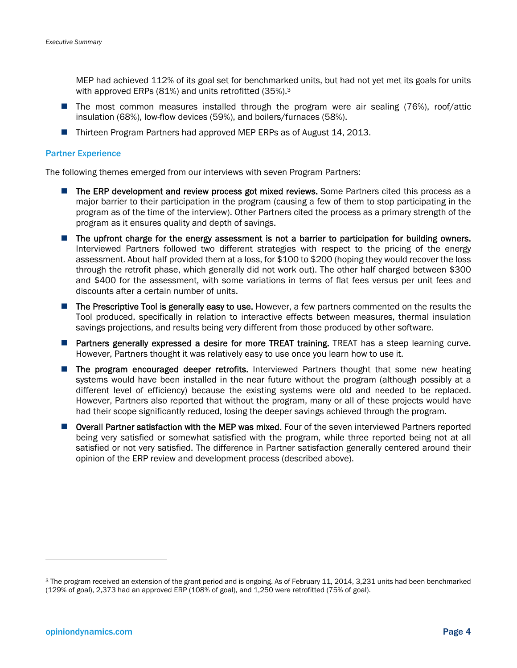MEP had achieved 112% of its goal set for benchmarked units, but had not yet met its goals for units with approved ERPs (81%) and units retrofitted (35%).3

- The most common measures installed through the program were air sealing (76%), roof/attic insulation (68%), low-flow devices (59%), and boilers/furnaces (58%).
- Thirteen Program Partners had approved MEP ERPs as of August 14, 2013.

#### Partner Experience

The following themes emerged from our interviews with seven Program Partners:

- **The ERP development and review process got mixed reviews.** Some Partners cited this process as a major barrier to their participation in the program (causing a few of them to stop participating in the program as of the time of the interview). Other Partners cited the process as a primary strength of the program as it ensures quality and depth of savings.
- **The upfront charge for the energy assessment is not a barrier to participation for building owners.** Interviewed Partners followed two different strategies with respect to the pricing of the energy assessment. About half provided them at a loss, for \$100 to \$200 (hoping they would recover the loss through the retrofit phase, which generally did not work out). The other half charged between \$300 and \$400 for the assessment, with some variations in terms of flat fees versus per unit fees and discounts after a certain number of units.
- **The Prescriptive Tool is generally easy to use.** However, a few partners commented on the results the Tool produced, specifically in relation to interactive effects between measures, thermal insulation savings projections, and results being very different from those produced by other software.
- **Partners generally expressed a desire for more TREAT training.** TREAT has a steep learning curve. However, Partners thought it was relatively easy to use once you learn how to use it.
- **The program encouraged deeper retrofits.** Interviewed Partners thought that some new heating systems would have been installed in the near future without the program (although possibly at a different level of efficiency) because the existing systems were old and needed to be replaced. However, Partners also reported that without the program, many or all of these projects would have had their scope significantly reduced, losing the deeper savings achieved through the program.
- **Overall Partner satisfaction with the MEP was mixed.** Four of the seven interviewed Partners reported being very satisfied or somewhat satisfied with the program, while three reported being not at all satisfied or not very satisfied. The difference in Partner satisfaction generally centered around their opinion of the ERP review and development process (described above).

-

<sup>3</sup> The program received an extension of the grant period and is ongoing. As of February 11, 2014, 3,231 units had been benchmarked (129% of goal), 2,373 had an approved ERP (108% of goal), and 1,250 were retrofitted (75% of goal).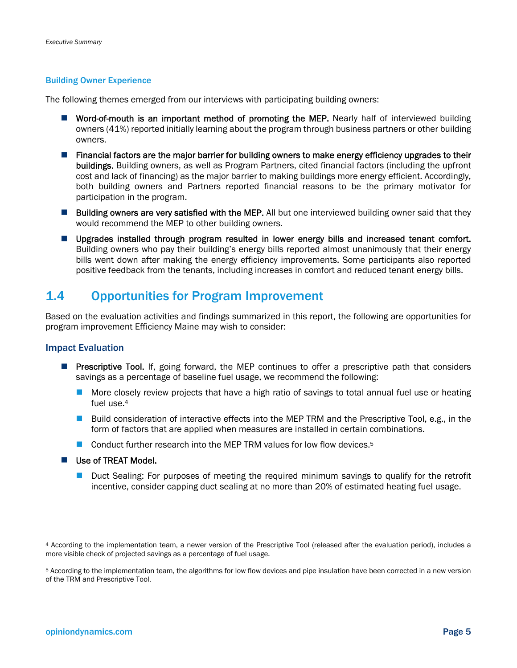#### Building Owner Experience

The following themes emerged from our interviews with participating building owners:

- **U** Word-of-mouth is an important method of promoting the MEP. Nearly half of interviewed building owners (41%) reported initially learning about the program through business partners or other building owners.
- **Financial factors are the major barrier for building owners to make energy efficiency upgrades to their** buildings. Building owners, as well as Program Partners, cited financial factors (including the upfront cost and lack of financing) as the major barrier to making buildings more energy efficient. Accordingly, both building owners and Partners reported financial reasons to be the primary motivator for participation in the program.
- **Building owners are very satisfied with the MEP.** All but one interviewed building owner said that they would recommend the MEP to other building owners.
- **Upgrades installed through program resulted in lower energy bills and increased tenant comfort.** Building owners who pay their building's energy bills reported almost unanimously that their energy bills went down after making the energy efficiency improvements. Some participants also reported positive feedback from the tenants, including increases in comfort and reduced tenant energy bills.

## 1.4 Opportunities for Program Improvement

Based on the evaluation activities and findings summarized in this report, the following are opportunities for program improvement Efficiency Maine may wish to consider:

#### Impact Evaluation

- **Prescriptive Tool.** If, going forward, the MEP continues to offer a prescriptive path that considers savings as a percentage of baseline fuel usage, we recommend the following:
	- **More closely review projects that have a high ratio of savings to total annual fuel use or heating** fuel use.4
	- **Build consideration of interactive effects into the MEP TRM and the Prescriptive Tool, e.g., in the** form of factors that are applied when measures are installed in certain combinations.
	- Conduct further research into the MEP TRM values for low flow devices.<sup>5</sup>
- Use of TREAT Model.
	- **Duct Sealing: For purposes of meeting the required minimum savings to qualify for the retrofit** incentive, consider capping duct sealing at no more than 20% of estimated heating fuel usage.

1

<sup>4</sup> According to the implementation team, a newer version of the Prescriptive Tool (released after the evaluation period), includes a more visible check of projected savings as a percentage of fuel usage.

<sup>5</sup> According to the implementation team, the algorithms for low flow devices and pipe insulation have been corrected in a new version of the TRM and Prescriptive Tool.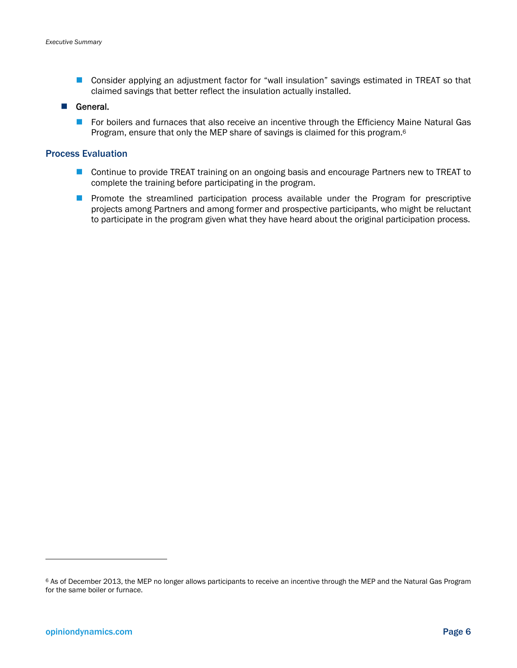■ Consider applying an adjustment factor for "wall insulation" savings estimated in TREAT so that claimed savings that better reflect the insulation actually installed.

#### General.

**For boilers and furnaces that also receive an incentive through the Efficiency Maine Natural Gas** Program, ensure that only the MEP share of savings is claimed for this program.<sup>6</sup>

#### Process Evaluation

- Continue to provide TREAT training on an ongoing basis and encourage Partners new to TREAT to complete the training before participating in the program.
- **Promote the streamlined participation process available under the Program for prescriptive** projects among Partners and among former and prospective participants, who might be reluctant to participate in the program given what they have heard about the original participation process.

-

<sup>6</sup> As of December 2013, the MEP no longer allows participants to receive an incentive through the MEP and the Natural Gas Program for the same boiler or furnace.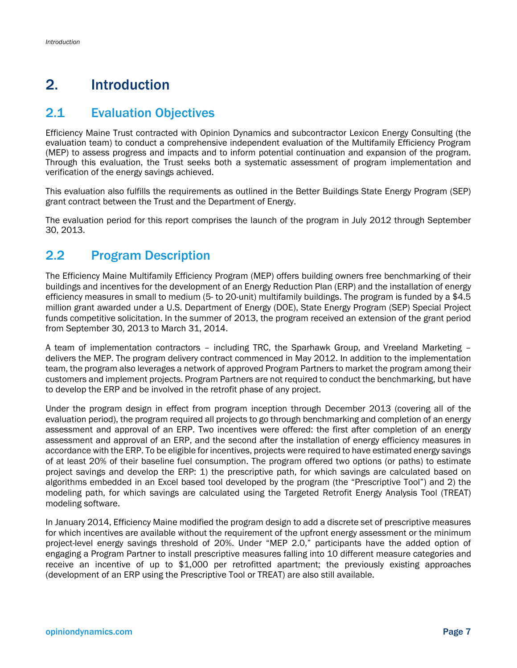## 2. Introduction

## 2.1 Evaluation Objectives

Efficiency Maine Trust contracted with Opinion Dynamics and subcontractor Lexicon Energy Consulting (the evaluation team) to conduct a comprehensive independent evaluation of the Multifamily Efficiency Program (MEP) to assess progress and impacts and to inform potential continuation and expansion of the program. Through this evaluation, the Trust seeks both a systematic assessment of program implementation and verification of the energy savings achieved.

This evaluation also fulfills the requirements as outlined in the Better Buildings State Energy Program (SEP) grant contract between the Trust and the Department of Energy.

The evaluation period for this report comprises the launch of the program in July 2012 through September 30, 2013.

## 2.2 Program Description

The Efficiency Maine Multifamily Efficiency Program (MEP) offers building owners free benchmarking of their buildings and incentives for the development of an Energy Reduction Plan (ERP) and the installation of energy efficiency measures in small to medium (5- to 20-unit) multifamily buildings. The program is funded by a \$4.5 million grant awarded under a U.S. Department of Energy (DOE), State Energy Program (SEP) Special Project funds competitive solicitation. In the summer of 2013, the program received an extension of the grant period from September 30, 2013 to March 31, 2014.

A team of implementation contractors – including TRC, the Sparhawk Group, and Vreeland Marketing – delivers the MEP. The program delivery contract commenced in May 2012. In addition to the implementation team, the program also leverages a network of approved Program Partners to market the program among their customers and implement projects. Program Partners are not required to conduct the benchmarking, but have to develop the ERP and be involved in the retrofit phase of any project.

Under the program design in effect from program inception through December 2013 (covering all of the evaluation period), the program required all projects to go through benchmarking and completion of an energy assessment and approval of an ERP. Two incentives were offered: the first after completion of an energy assessment and approval of an ERP, and the second after the installation of energy efficiency measures in accordance with the ERP. To be eligible for incentives, projects were required to have estimated energy savings of at least 20% of their baseline fuel consumption. The program offered two options (or paths) to estimate project savings and develop the ERP: 1) the prescriptive path, for which savings are calculated based on algorithms embedded in an Excel based tool developed by the program (the "Prescriptive Tool") and 2) the modeling path, for which savings are calculated using the Targeted Retrofit Energy Analysis Tool (TREAT) modeling software.

In January 2014, Efficiency Maine modified the program design to add a discrete set of prescriptive measures for which incentives are available without the requirement of the upfront energy assessment or the minimum project-level energy savings threshold of 20%. Under "MEP 2.0," participants have the added option of engaging a Program Partner to install prescriptive measures falling into 10 different measure categories and receive an incentive of up to \$1,000 per retrofitted apartment; the previously existing approaches (development of an ERP using the Prescriptive Tool or TREAT) are also still available.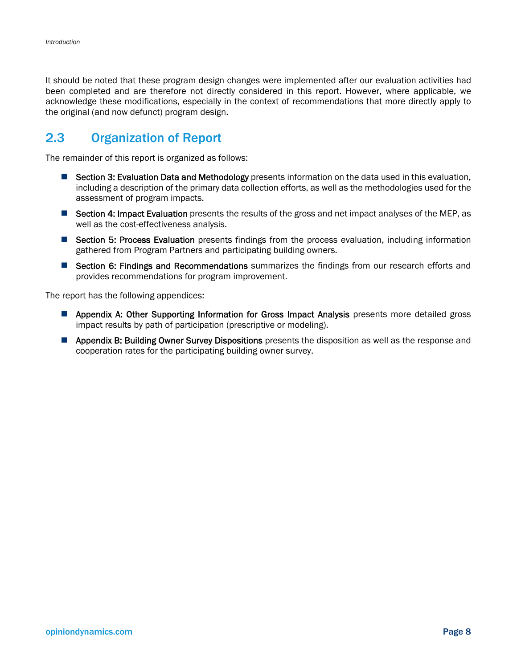It should be noted that these program design changes were implemented after our evaluation activities had been completed and are therefore not directly considered in this report. However, where applicable, we acknowledge these modifications, especially in the context of recommendations that more directly apply to the original (and now defunct) program design.

## 2.3 Organization of Report

The remainder of this report is organized as follows:

- **Section 3: Evaluation Data and Methodology** presents information on the data used in this evaluation, including a description of the primary data collection efforts, as well as the methodologies used for the assessment of program impacts.
- Section 4: Impact Evaluation presents the results of the gross and net impact analyses of the MEP, as well as the cost-effectiveness analysis.
- Section 5: Process Evaluation presents findings from the process evaluation, including information gathered from Program Partners and participating building owners.
- **E** Section 6: Findings and Recommendations summarizes the findings from our research efforts and provides recommendations for program improvement.

The report has the following appendices:

- **Appendix A: Other Supporting Information for Gross Impact Analysis** presents more detailed gross impact results by path of participation (prescriptive or modeling).
- **Appendix B: Building Owner Survey Dispositions** presents the disposition as well as the response and cooperation rates for the participating building owner survey.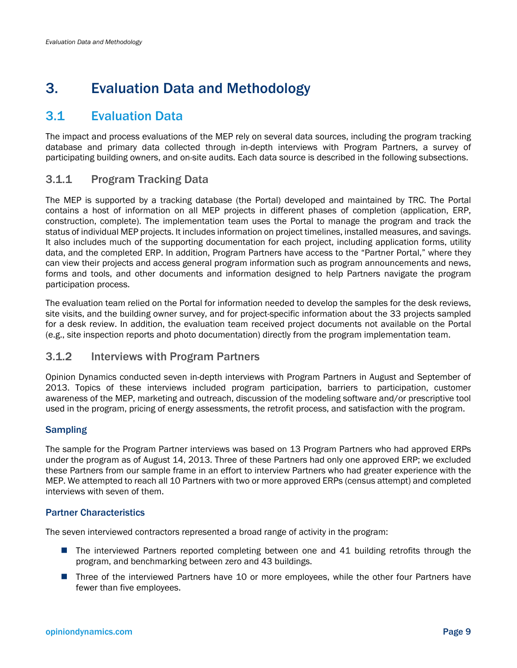## 3. Evaluation Data and Methodology

## 3.1 Evaluation Data

The impact and process evaluations of the MEP rely on several data sources, including the program tracking database and primary data collected through in-depth interviews with Program Partners, a survey of participating building owners, and on-site audits. Each data source is described in the following subsections.

## 3.1.1 Program Tracking Data

The MEP is supported by a tracking database (the Portal) developed and maintained by TRC. The Portal contains a host of information on all MEP projects in different phases of completion (application, ERP, construction, complete). The implementation team uses the Portal to manage the program and track the status of individual MEP projects. It includes information on project timelines, installed measures, and savings. It also includes much of the supporting documentation for each project, including application forms, utility data, and the completed ERP. In addition, Program Partners have access to the "Partner Portal," where they can view their projects and access general program information such as program announcements and news, forms and tools, and other documents and information designed to help Partners navigate the program participation process.

The evaluation team relied on the Portal for information needed to develop the samples for the desk reviews, site visits, and the building owner survey, and for project-specific information about the 33 projects sampled for a desk review. In addition, the evaluation team received project documents not available on the Portal (e.g., site inspection reports and photo documentation) directly from the program implementation team.

## 3.1.2 Interviews with Program Partners

Opinion Dynamics conducted seven in-depth interviews with Program Partners in August and September of 2013. Topics of these interviews included program participation, barriers to participation, customer awareness of the MEP, marketing and outreach, discussion of the modeling software and/or prescriptive tool used in the program, pricing of energy assessments, the retrofit process, and satisfaction with the program.

## **Sampling**

The sample for the Program Partner interviews was based on 13 Program Partners who had approved ERPs under the program as of August 14, 2013. Three of these Partners had only one approved ERP; we excluded these Partners from our sample frame in an effort to interview Partners who had greater experience with the MEP. We attempted to reach all 10 Partners with two or more approved ERPs (census attempt) and completed interviews with seven of them.

### Partner Characteristics

The seven interviewed contractors represented a broad range of activity in the program:

- **The interviewed Partners reported completing between one and 41 building retrofits through the** program, and benchmarking between zero and 43 buildings.
- **Three of the interviewed Partners have 10 or more employees, while the other four Partners have** fewer than five employees.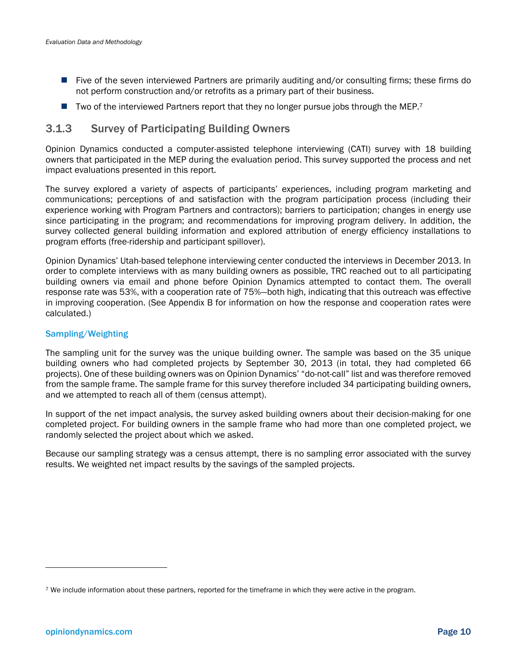- Five of the seven interviewed Partners are primarily auditing and/or consulting firms; these firms do not perform construction and/or retrofits as a primary part of their business.
- $\blacksquare$  Two of the interviewed Partners report that they no longer pursue jobs through the MEP.<sup>7</sup>

## 3.1.3 Survey of Participating Building Owners

Opinion Dynamics conducted a computer-assisted telephone interviewing (CATI) survey with 18 building owners that participated in the MEP during the evaluation period. This survey supported the process and net impact evaluations presented in this report.

The survey explored a variety of aspects of participants' experiences, including program marketing and communications; perceptions of and satisfaction with the program participation process (including their experience working with Program Partners and contractors); barriers to participation; changes in energy use since participating in the program; and recommendations for improving program delivery. In addition, the survey collected general building information and explored attribution of energy efficiency installations to program efforts (free-ridership and participant spillover).

Opinion Dynamics' Utah-based telephone interviewing center conducted the interviews in December 2013. In order to complete interviews with as many building owners as possible, TRC reached out to all participating building owners via email and phone before Opinion Dynamics attempted to contact them. The overall response rate was 53%, with a cooperation rate of 75%—both high, indicating that this outreach was effective in improving cooperation. (See Appendix B for information on how the response and cooperation rates were calculated.)

#### Sampling/Weighting

The sampling unit for the survey was the unique building owner. The sample was based on the 35 unique building owners who had completed projects by September 30, 2013 (in total, they had completed 66 projects). One of these building owners was on Opinion Dynamics' "do-not-call" list and was therefore removed from the sample frame. The sample frame for this survey therefore included 34 participating building owners, and we attempted to reach all of them (census attempt).

In support of the net impact analysis, the survey asked building owners about their decision-making for one completed project. For building owners in the sample frame who had more than one completed project, we randomly selected the project about which we asked.

Because our sampling strategy was a census attempt, there is no sampling error associated with the survey results. We weighted net impact results by the savings of the sampled projects.

l

<sup>7</sup> We include information about these partners, reported for the timeframe in which they were active in the program.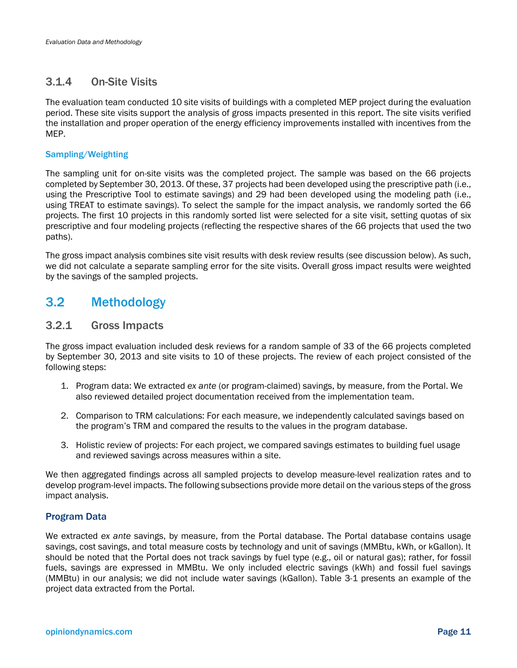## 3.1.4 On-Site Visits

The evaluation team conducted 10 site visits of buildings with a completed MEP project during the evaluation period. These site visits support the analysis of gross impacts presented in this report. The site visits verified the installation and proper operation of the energy efficiency improvements installed with incentives from the MEP.

#### Sampling/Weighting

The sampling unit for on-site visits was the completed project. The sample was based on the 66 projects completed by September 30, 2013. Of these, 37 projects had been developed using the prescriptive path (i.e., using the Prescriptive Tool to estimate savings) and 29 had been developed using the modeling path (i.e., using TREAT to estimate savings). To select the sample for the impact analysis, we randomly sorted the 66 projects. The first 10 projects in this randomly sorted list were selected for a site visit, setting quotas of six prescriptive and four modeling projects (reflecting the respective shares of the 66 projects that used the two paths).

The gross impact analysis combines site visit results with desk review results (see discussion below). As such, we did not calculate a separate sampling error for the site visits. Overall gross impact results were weighted by the savings of the sampled projects.

## 3.2 Methodology

### 3.2.1 Gross Impacts

The gross impact evaluation included desk reviews for a random sample of 33 of the 66 projects completed by September 30, 2013 and site visits to 10 of these projects. The review of each project consisted of the following steps:

- 1. Program data: We extracted *ex ante* (or program-claimed) savings, by measure, from the Portal. We also reviewed detailed project documentation received from the implementation team.
- 2. Comparison to TRM calculations: For each measure, we independently calculated savings based on the program's TRM and compared the results to the values in the program database.
- 3. Holistic review of projects: For each project, we compared savings estimates to building fuel usage and reviewed savings across measures within a site.

We then aggregated findings across all sampled projects to develop measure-level realization rates and to develop program-level impacts. The following subsections provide more detail on the various steps of the gross impact analysis.

### Program Data

We extracted *ex ante* savings, by measure, from the Portal database. The Portal database contains usage savings, cost savings, and total measure costs by technology and unit of savings (MMBtu, kWh, or kGallon). It should be noted that the Portal does not track savings by fuel type (e.g., oil or natural gas); rather, for fossil fuels, savings are expressed in MMBtu. We only included electric savings (kWh) and fossil fuel savings (MMBtu) in our analysis; we did not include water savings (kGallon). Table 3-1 presents an example of the project data extracted from the Portal.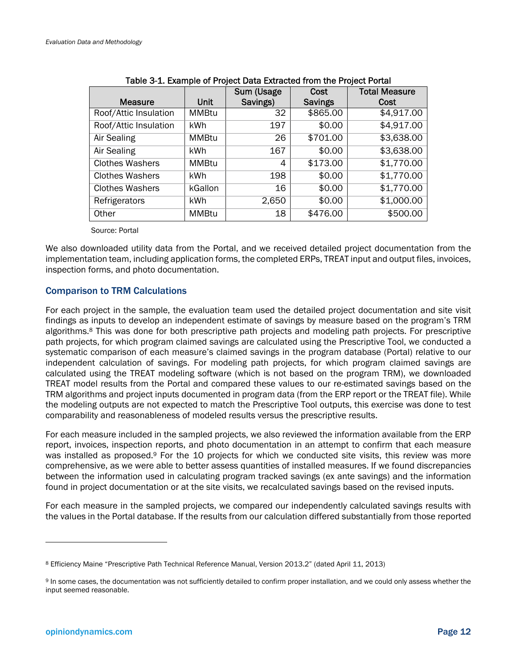|                        |              | Sum (Usage | Cost           | <b>Total Measure</b> |
|------------------------|--------------|------------|----------------|----------------------|
| <b>Measure</b>         | <b>Unit</b>  | Savings)   | <b>Savings</b> | Cost                 |
| Roof/Attic Insulation  | MMBtu        | 32         | \$865.00       | \$4,917.00           |
| Roof/Attic Insulation  | kWh          | 197        | \$0.00         | \$4,917.00           |
| Air Sealing            | <b>MMBtu</b> | 26         | \$701.00       | \$3,638.00           |
| Air Sealing            | kWh          | 167        | \$0.00         | \$3,638.00           |
| <b>Clothes Washers</b> | <b>MMBtu</b> | 4          | \$173.00       | \$1,770.00           |
| <b>Clothes Washers</b> | <b>kWh</b>   | 198        | \$0.00         | \$1,770.00           |
| <b>Clothes Washers</b> | kGallon      | 16         | \$0.00         | \$1,770.00           |
| Refrigerators          | kWh          | 2,650      | \$0.00         | \$1,000.00           |
| Other                  | <b>MMBtu</b> | 18         | \$476.00       | \$500.00             |

#### Table 3-1. Example of Project Data Extracted from the Project Portal

Source: Portal

We also downloaded utility data from the Portal, and we received detailed project documentation from the implementation team, including application forms, the completed ERPs, TREAT input and output files, invoices, inspection forms, and photo documentation.

#### Comparison to TRM Calculations

For each project in the sample, the evaluation team used the detailed project documentation and site visit findings as inputs to develop an independent estimate of savings by measure based on the program's TRM algorithms.8 This was done for both prescriptive path projects and modeling path projects. For prescriptive path projects, for which program claimed savings are calculated using the Prescriptive Tool, we conducted a systematic comparison of each measure's claimed savings in the program database (Portal) relative to our independent calculation of savings. For modeling path projects, for which program claimed savings are calculated using the TREAT modeling software (which is not based on the program TRM), we downloaded TREAT model results from the Portal and compared these values to our re-estimated savings based on the TRM algorithms and project inputs documented in program data (from the ERP report or the TREAT file). While the modeling outputs are not expected to match the Prescriptive Tool outputs, this exercise was done to test comparability and reasonableness of modeled results versus the prescriptive results.

For each measure included in the sampled projects, we also reviewed the information available from the ERP report, invoices, inspection reports, and photo documentation in an attempt to confirm that each measure was installed as proposed.<sup>9</sup> For the 10 projects for which we conducted site visits, this review was more comprehensive, as we were able to better assess quantities of installed measures. If we found discrepancies between the information used in calculating program tracked savings (ex ante savings) and the information found in project documentation or at the site visits, we recalculated savings based on the revised inputs.

For each measure in the sampled projects, we compared our independently calculated savings results with the values in the Portal database. If the results from our calculation differed substantially from those reported

 $\overline{a}$ 

<sup>8</sup> Efficiency Maine "Prescriptive Path Technical Reference Manual, Version 2013.2" (dated April 11, 2013)

<sup>9</sup> In some cases, the documentation was not sufficiently detailed to confirm proper installation, and we could only assess whether the input seemed reasonable.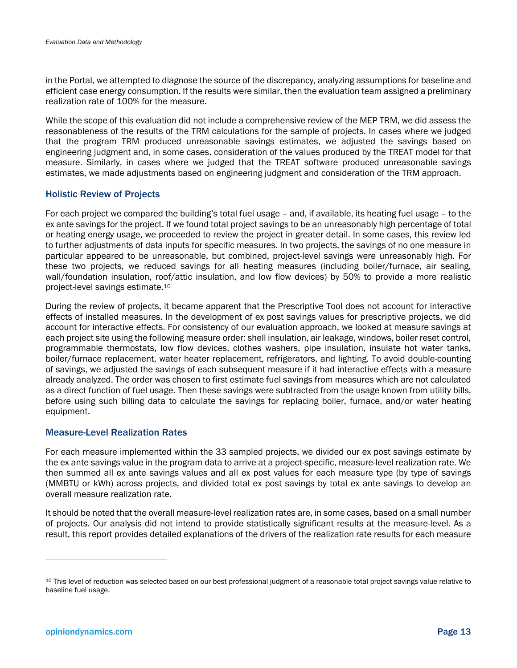in the Portal, we attempted to diagnose the source of the discrepancy, analyzing assumptions for baseline and efficient case energy consumption. If the results were similar, then the evaluation team assigned a preliminary realization rate of 100% for the measure.

While the scope of this evaluation did not include a comprehensive review of the MEP TRM, we did assess the reasonableness of the results of the TRM calculations for the sample of projects. In cases where we judged that the program TRM produced unreasonable savings estimates, we adjusted the savings based on engineering judgment and, in some cases, consideration of the values produced by the TREAT model for that measure. Similarly, in cases where we judged that the TREAT software produced unreasonable savings estimates, we made adjustments based on engineering judgment and consideration of the TRM approach.

#### Holistic Review of Projects

For each project we compared the building's total fuel usage – and, if available, its heating fuel usage – to the ex ante savings for the project. If we found total project savings to be an unreasonably high percentage of total or heating energy usage, we proceeded to review the project in greater detail. In some cases, this review led to further adjustments of data inputs for specific measures. In two projects, the savings of no one measure in particular appeared to be unreasonable, but combined, project-level savings were unreasonably high. For these two projects, we reduced savings for all heating measures (including boiler/furnace, air sealing, wall/foundation insulation, roof/attic insulation, and low flow devices) by 50% to provide a more realistic project-level savings estimate.10

During the review of projects, it became apparent that the Prescriptive Tool does not account for interactive effects of installed measures. In the development of ex post savings values for prescriptive projects, we did account for interactive effects. For consistency of our evaluation approach, we looked at measure savings at each project site using the following measure order: shell insulation, air leakage, windows, boiler reset control, programmable thermostats, low flow devices, clothes washers, pipe insulation, insulate hot water tanks, boiler/furnace replacement, water heater replacement, refrigerators, and lighting. To avoid double-counting of savings, we adjusted the savings of each subsequent measure if it had interactive effects with a measure already analyzed. The order was chosen to first estimate fuel savings from measures which are not calculated as a direct function of fuel usage. Then these savings were subtracted from the usage known from utility bills, before using such billing data to calculate the savings for replacing boiler, furnace, and/or water heating equipment.

#### Measure-Level Realization Rates

For each measure implemented within the 33 sampled projects, we divided our ex post savings estimate by the ex ante savings value in the program data to arrive at a project-specific, measure-level realization rate. We then summed all ex ante savings values and all ex post values for each measure type (by type of savings (MMBTU or kWh) across projects, and divided total ex post savings by total ex ante savings to develop an overall measure realization rate.

It should be noted that the overall measure-level realization rates are, in some cases, based on a small number of projects. Our analysis did not intend to provide statistically significant results at the measure-level. As a result, this report provides detailed explanations of the drivers of the realization rate results for each measure

 $\overline{a}$ 

<sup>10</sup> This level of reduction was selected based on our best professional judgment of a reasonable total project savings value relative to baseline fuel usage.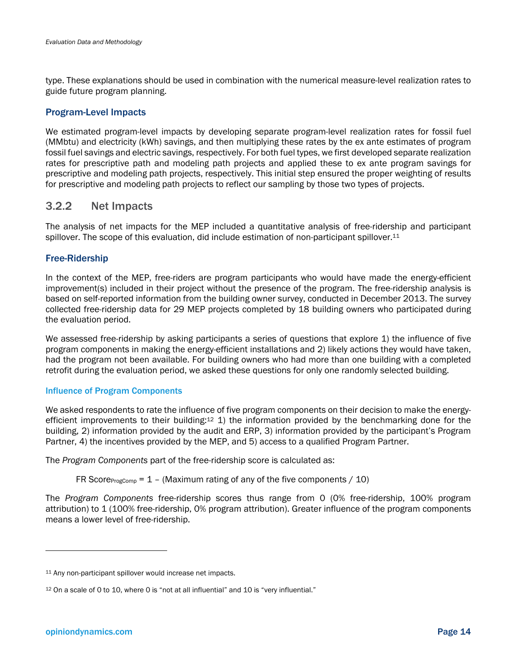type. These explanations should be used in combination with the numerical measure-level realization rates to guide future program planning.

#### Program-Level Impacts

We estimated program-level impacts by developing separate program-level realization rates for fossil fuel (MMbtu) and electricity (kWh) savings, and then multiplying these rates by the ex ante estimates of program fossil fuel savings and electric savings, respectively. For both fuel types, we first developed separate realization rates for prescriptive path and modeling path projects and applied these to ex ante program savings for prescriptive and modeling path projects, respectively. This initial step ensured the proper weighting of results for prescriptive and modeling path projects to reflect our sampling by those two types of projects.

### 3.2.2 Net Impacts

The analysis of net impacts for the MEP included a quantitative analysis of free-ridership and participant spillover. The scope of this evaluation, did include estimation of non-participant spillover.<sup>11</sup>

#### Free-Ridership

In the context of the MEP, free-riders are program participants who would have made the energy-efficient improvement(s) included in their project without the presence of the program. The free-ridership analysis is based on self-reported information from the building owner survey, conducted in December 2013. The survey collected free-ridership data for 29 MEP projects completed by 18 building owners who participated during the evaluation period.

We assessed free-ridership by asking participants a series of questions that explore 1) the influence of five program components in making the energy-efficient installations and 2) likely actions they would have taken, had the program not been available. For building owners who had more than one building with a completed retrofit during the evaluation period, we asked these questions for only one randomly selected building.

#### Influence of Program Components

We asked respondents to rate the influence of five program components on their decision to make the energyefficient improvements to their building:12 1) the information provided by the benchmarking done for the building, 2) information provided by the audit and ERP, 3) information provided by the participant's Program Partner, 4) the incentives provided by the MEP, and 5) access to a qualified Program Partner.

The *Program Components* part of the free-ridership score is calculated as:

FR Score<sub>ProgComp</sub> =  $1$  – (Maximum rating of any of the five components / 10)

The *Program Components* free-ridership scores thus range from 0 (0% free-ridership, 100% program attribution) to 1 (100% free-ridership, 0% program attribution). Greater influence of the program components means a lower level of free-ridership.

l

<sup>11</sup> Any non-participant spillover would increase net impacts.

<sup>12</sup> On a scale of 0 to 10, where 0 is "not at all influential" and 10 is "very influential."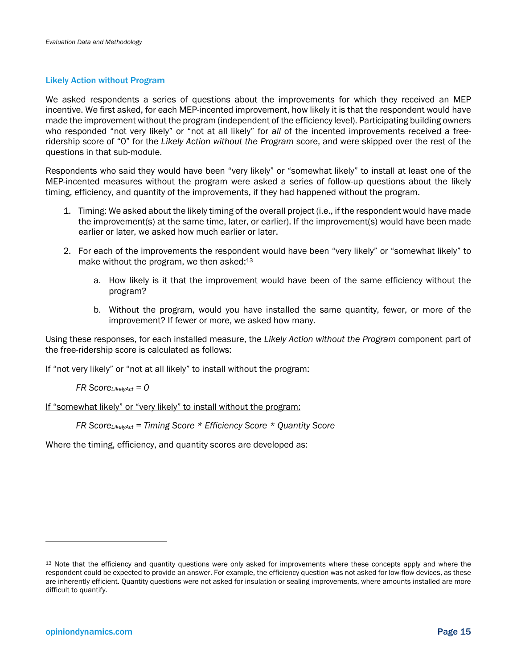#### Likely Action without Program

We asked respondents a series of questions about the improvements for which they received an MEP incentive. We first asked, for each MEP-incented improvement, how likely it is that the respondent would have made the improvement without the program (independent of the efficiency level). Participating building owners who responded "not very likely" or "not at all likely" for *all* of the incented improvements received a freeridership score of "0" for the *Likely Action without the Program* score, and were skipped over the rest of the questions in that sub-module.

Respondents who said they would have been "very likely" or "somewhat likely" to install at least one of the MEP-incented measures without the program were asked a series of follow-up questions about the likely timing, efficiency, and quantity of the improvements, if they had happened without the program.

- 1. Timing: We asked about the likely timing of the overall project (i.e., if the respondent would have made the improvement(s) at the same time, later, or earlier). If the improvement(s) would have been made earlier or later, we asked how much earlier or later.
- 2. For each of the improvements the respondent would have been "very likely" or "somewhat likely" to make without the program, we then asked: $13$ 
	- a. How likely is it that the improvement would have been of the same efficiency without the program?
	- b. Without the program, would you have installed the same quantity, fewer, or more of the improvement? If fewer or more, we asked how many.

Using these responses, for each installed measure, the *Likely Action without the Program* component part of the free-ridership score is calculated as follows:

If "not very likely" or "not at all likely" to install without the program:

*FR ScoreLikelyAct = 0* 

If "somewhat likely" or "very likely" to install without the program:

*FR ScoreLikelyAct = Timing Score \* Efficiency Score \* Quantity Score*

Where the timing, efficiency, and quantity scores are developed as:

l

<sup>&</sup>lt;sup>13</sup> Note that the efficiency and quantity questions were only asked for improvements where these concepts apply and where the respondent could be expected to provide an answer. For example, the efficiency question was not asked for low-flow devices, as these are inherently efficient. Quantity questions were not asked for insulation or sealing improvements, where amounts installed are more difficult to quantify.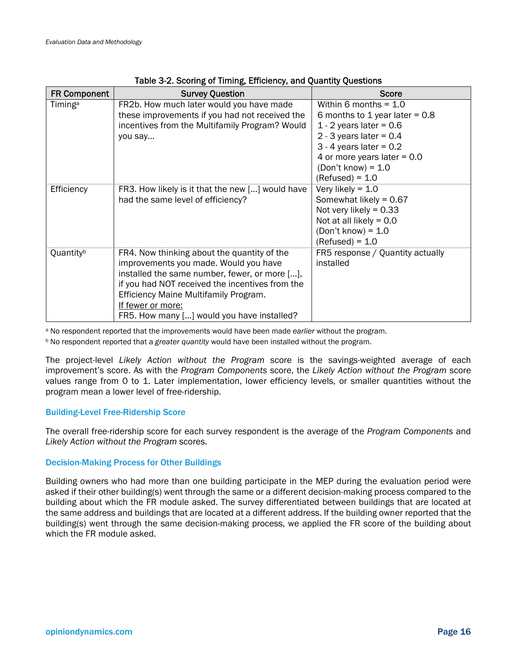| <b>FR Component</b> | <b>Survey Question</b>                                                                                                                                                                                                                                                                               | Score                                                                                                                                                                                                                            |
|---------------------|------------------------------------------------------------------------------------------------------------------------------------------------------------------------------------------------------------------------------------------------------------------------------------------------------|----------------------------------------------------------------------------------------------------------------------------------------------------------------------------------------------------------------------------------|
| Timing <sup>a</sup> | FR2b. How much later would you have made<br>these improvements if you had not received the<br>incentives from the Multifamily Program? Would<br>you say                                                                                                                                              | Within 6 months = $1.0$<br>6 months to 1 year later = $0.8$<br>1 - 2 years later = $0.6$<br>2 - 3 years later = $0.4$<br>$3 - 4$ years later = 0.2<br>4 or more years later = $0.0$<br>$(Don't know) = 1.0$<br>$(Refused) = 1.0$ |
| Efficiency          | FR3. How likely is it that the new [] would have<br>had the same level of efficiency?                                                                                                                                                                                                                | Very likely = $1.0$<br>Somewhat likely = $0.67$<br>Not very likely = $0.33$<br>Not at all likely = $0.0$<br>$(Don't know) = 1.0$<br>$(Refused) = 1.0$                                                                            |
| Quantityb           | FR4. Now thinking about the quantity of the<br>improvements you made. Would you have<br>installed the same number, fewer, or more [],<br>if you had NOT received the incentives from the<br>Efficiency Maine Multifamily Program.<br>If fewer or more:<br>FR5. How many [] would you have installed? | FR5 response / Quantity actually<br>installed                                                                                                                                                                                    |

| Table 3-2. Scoring of Timing, Efficiency, and Quantity Questions |  |  |
|------------------------------------------------------------------|--|--|
|------------------------------------------------------------------|--|--|

a No respondent reported that the improvements would have been made *earlier* without the program.

b No respondent reported that a *greater quantity* would have been installed without the program.

The project-level *Likely Action without the Program* score is the savings-weighted average of each improvement's score. As with the *Program Components* score, the *Likely Action without the Program* score values range from 0 to 1. Later implementation, lower efficiency levels, or smaller quantities without the program mean a lower level of free-ridership.

#### Building-Level Free-Ridership Score

The overall free-ridership score for each survey respondent is the average of the *Program Components* and *Likely Action without the Program* scores.

#### Decision-Making Process for Other Buildings

Building owners who had more than one building participate in the MEP during the evaluation period were asked if their other building(s) went through the same or a different decision-making process compared to the building about which the FR module asked. The survey differentiated between buildings that are located at the same address and buildings that are located at a different address. If the building owner reported that the building(s) went through the same decision-making process, we applied the FR score of the building about which the FR module asked.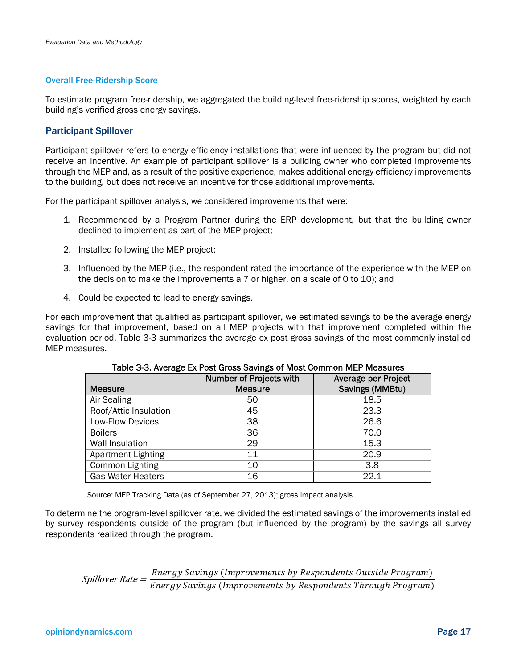#### Overall Free-Ridership Score

To estimate program free-ridership, we aggregated the building-level free-ridership scores, weighted by each building's verified gross energy savings.

#### Participant Spillover

Participant spillover refers to energy efficiency installations that were influenced by the program but did not receive an incentive. An example of participant spillover is a building owner who completed improvements through the MEP and, as a result of the positive experience, makes additional energy efficiency improvements to the building, but does not receive an incentive for those additional improvements.

For the participant spillover analysis, we considered improvements that were:

- 1. Recommended by a Program Partner during the ERP development, but that the building owner declined to implement as part of the MEP project;
- 2. Installed following the MEP project;
- 3. Influenced by the MEP (i.e., the respondent rated the importance of the experience with the MEP on the decision to make the improvements a 7 or higher, on a scale of 0 to 10); and
- 4. Could be expected to lead to energy savings.

For each improvement that qualified as participant spillover, we estimated savings to be the average energy savings for that improvement, based on all MEP projects with that improvement completed within the evaluation period. Table 3-3 summarizes the average ex post gross savings of the most commonly installed MEP measures.

|                           | Number of Projects with | Average per Project |
|---------------------------|-------------------------|---------------------|
| <b>Measure</b>            | <b>Measure</b>          | Savings (MMBtu)     |
| Air Sealing               | 50                      | 18.5                |
| Roof/Attic Insulation     | 45                      | 23.3                |
| Low-Flow Devices          | 38                      | 26.6                |
| <b>Boilers</b>            | 36                      | 70.0                |
| <b>Wall Insulation</b>    | 29                      | 15.3                |
| <b>Apartment Lighting</b> | 11                      | 20.9                |
| Common Lighting           | 10                      | 3.8                 |
| <b>Gas Water Heaters</b>  | 16                      | 22.1                |

Table 3-3. Average Ex Post Gross Savings of Most Common MEP Measures

Source: MEP Tracking Data (as of September 27, 2013); gross impact analysis

To determine the program-level spillover rate, we divided the estimated savings of the improvements installed by survey respondents outside of the program (but influenced by the program) by the savings all survey respondents realized through the program.

Spillover Rate = Energy Savings (Improvements by Respondents Outside Program)<br>Gpillover Rate = <del>Energy Savings (Improvements by Respondents Through Program)</del>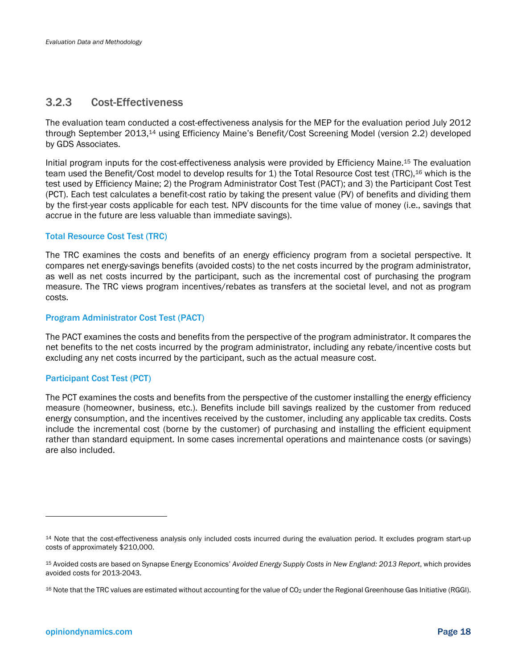### 3.2.3 Cost-Effectiveness

The evaluation team conducted a cost-effectiveness analysis for the MEP for the evaluation period July 2012 through September 2013,14 using Efficiency Maine's Benefit/Cost Screening Model (version 2.2) developed by GDS Associates.

Initial program inputs for the cost-effectiveness analysis were provided by Efficiency Maine.15 The evaluation team used the Benefit/Cost model to develop results for 1) the Total Resource Cost test (TRC),<sup>16</sup> which is the test used by Efficiency Maine; 2) the Program Administrator Cost Test (PACT); and 3) the Participant Cost Test (PCT). Each test calculates a benefit-cost ratio by taking the present value (PV) of benefits and dividing them by the first-year costs applicable for each test. NPV discounts for the time value of money (i.e., savings that accrue in the future are less valuable than immediate savings).

#### Total Resource Cost Test (TRC)

The TRC examines the costs and benefits of an energy efficiency program from a societal perspective. It compares net energy-savings benefits (avoided costs) to the net costs incurred by the program administrator, as well as net costs incurred by the participant, such as the incremental cost of purchasing the program measure. The TRC views program incentives/rebates as transfers at the societal level, and not as program costs.

#### Program Administrator Cost Test (PACT)

The PACT examines the costs and benefits from the perspective of the program administrator. It compares the net benefits to the net costs incurred by the program administrator, including any rebate/incentive costs but excluding any net costs incurred by the participant, such as the actual measure cost.

#### Participant Cost Test (PCT)

The PCT examines the costs and benefits from the perspective of the customer installing the energy efficiency measure (homeowner, business, etc.). Benefits include bill savings realized by the customer from reduced energy consumption, and the incentives received by the customer, including any applicable tax credits. Costs include the incremental cost (borne by the customer) of purchasing and installing the efficient equipment rather than standard equipment. In some cases incremental operations and maintenance costs (or savings) are also included.

 $\overline{a}$ 

<sup>14</sup> Note that the cost-effectiveness analysis only included costs incurred during the evaluation period. It excludes program start-up costs of approximately \$210,000.

<sup>15</sup> Avoided costs are based on Synapse Energy Economics' *Avoided Energy Supply Costs in New England: 2013 Report*, which provides avoided costs for 2013-2043.

<sup>16</sup> Note that the TRC values are estimated without accounting for the value of CO<sub>2</sub> under the Regional Greenhouse Gas Initiative (RGGI).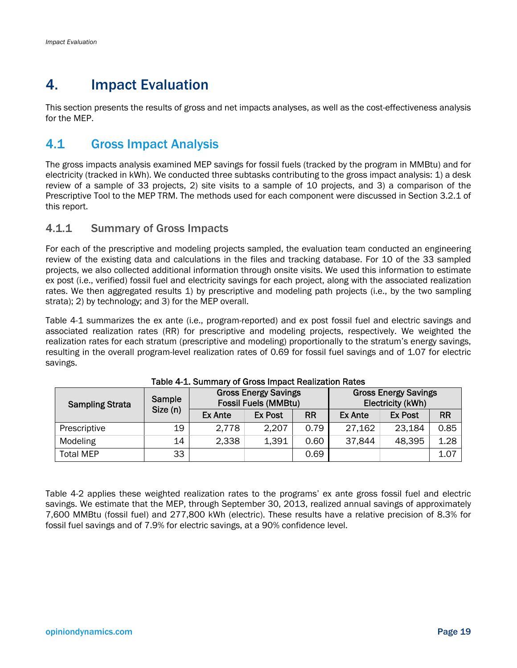## 4. Impact Evaluation

This section presents the results of gross and net impacts analyses, as well as the cost-effectiveness analysis for the MEP.

## 4.1 Gross Impact Analysis

The gross impacts analysis examined MEP savings for fossil fuels (tracked by the program in MMBtu) and for electricity (tracked in kWh). We conducted three subtasks contributing to the gross impact analysis: 1) a desk review of a sample of 33 projects, 2) site visits to a sample of 10 projects, and 3) a comparison of the Prescriptive Tool to the MEP TRM. The methods used for each component were discussed in Section 3.2.1 of this report.

## 4.1.1 Summary of Gross Impacts

For each of the prescriptive and modeling projects sampled, the evaluation team conducted an engineering review of the existing data and calculations in the files and tracking database. For 10 of the 33 sampled projects, we also collected additional information through onsite visits. We used this information to estimate ex post (i.e., verified) fossil fuel and electricity savings for each project, along with the associated realization rates. We then aggregated results 1) by prescriptive and modeling path projects (i.e., by the two sampling strata); 2) by technology; and 3) for the MEP overall.

Table 4-1 summarizes the ex ante (i.e., program-reported) and ex post fossil fuel and electric savings and associated realization rates (RR) for prescriptive and modeling projects, respectively. We weighted the realization rates for each stratum (prescriptive and modeling) proportionally to the stratum's energy savings, resulting in the overall program-level realization rates of 0.69 for fossil fuel savings and of 1.07 for electric savings.

| <b>Sampling Strata</b> | Sample  | <b>Gross Energy Savings</b><br><b>Fossil Fuels (MMBtu)</b> |                |           | <b>Gross Energy Savings</b><br>Electricity (kWh) |                |           |
|------------------------|---------|------------------------------------------------------------|----------------|-----------|--------------------------------------------------|----------------|-----------|
|                        | Size(n) | Ex Ante                                                    | <b>Ex Post</b> | <b>RR</b> | <b>Ex Ante</b>                                   | <b>Ex Post</b> | <b>RR</b> |
| Prescriptive           | 19      | 2,778                                                      | 2,207          | 0.79      | 27,162                                           | 23,184         | 0.85      |
| Modeling               | 14      | 2,338                                                      | 1,391          | 0.60      | 37,844                                           | 48,395         | 1.28      |
| <b>Total MEP</b>       | 33      |                                                            |                | 0.69      |                                                  |                | 1.07      |

#### Table 4-1. Summary of Gross Impact Realization Rates

Table 4-2 applies these weighted realization rates to the programs' ex ante gross fossil fuel and electric savings. We estimate that the MEP, through September 30, 2013, realized annual savings of approximately 7,600 MMBtu (fossil fuel) and 277,800 kWh (electric). These results have a relative precision of 8.3% for fossil fuel savings and of 7.9% for electric savings, at a 90% confidence level.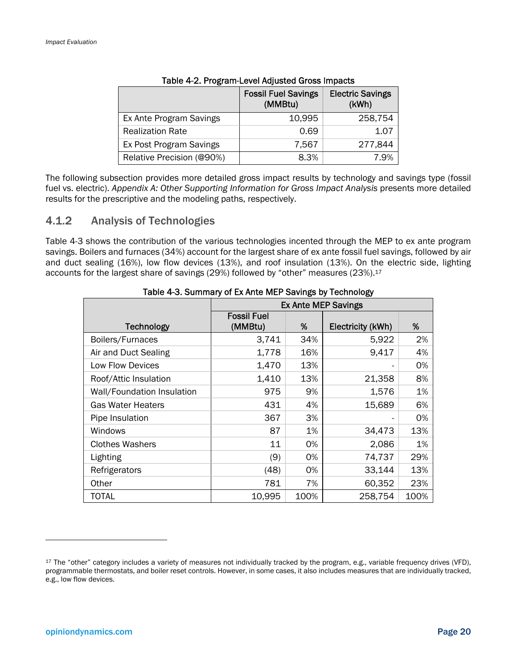|                           | <b>Fossil Fuel Savings</b><br>(MMBtu) | <b>Electric Savings</b><br>(kWh) |
|---------------------------|---------------------------------------|----------------------------------|
| Ex Ante Program Savings   | 10,995                                | 258,754                          |
| <b>Realization Rate</b>   | 0.69                                  | 1.07                             |
| Ex Post Program Savings   | 7,567                                 | 277,844                          |
| Relative Precision (@90%) | 8.3%                                  | 7 9%                             |

The following subsection provides more detailed gross impact results by technology and savings type (fossil fuel vs. electric). *Appendix A: Other Supporting Information for Gross Impact Analysis* presents more detailed results for the prescriptive and the modeling paths, respectively.

### 4.1.2 Analysis of Technologies

Table 4-3 shows the contribution of the various technologies incented through the MEP to ex ante program savings. Boilers and furnaces (34%) account for the largest share of ex ante fossil fuel savings, followed by air and duct sealing (16%), low flow devices (13%), and roof insulation (13%). On the electric side, lighting accounts for the largest share of savings (29%) followed by "other" measures (23%).<sup>17</sup>

|                            | <b>Ex Ante MEP Savings</b>    |      |                   |      |  |
|----------------------------|-------------------------------|------|-------------------|------|--|
| <b>Technology</b>          | <b>Fossil Fuel</b><br>(MMBtu) | %    | Electricity (kWh) | %    |  |
|                            |                               |      |                   |      |  |
| Boilers/Furnaces           | 3,741                         | 34%  | 5,922             | 2%   |  |
| Air and Duct Sealing       | 1,778                         | 16%  | 9,417             | 4%   |  |
| Low Flow Devices           | 1,470                         | 13%  |                   | 0%   |  |
| Roof/Attic Insulation      | 1,410                         | 13%  | 21,358            | 8%   |  |
| Wall/Foundation Insulation | 975                           | 9%   | 1,576             | 1%   |  |
| <b>Gas Water Heaters</b>   | 431                           | 4%   | 15,689            | 6%   |  |
| Pipe Insulation            | 367                           | 3%   |                   | 0%   |  |
| Windows                    | 87                            | 1%   | 34,473            | 13%  |  |
| <b>Clothes Washers</b>     | 11                            | 0%   | 2,086             | 1%   |  |
| Lighting                   | (9)                           | 0%   | 74,737            | 29%  |  |
| Refrigerators              | (48)                          | 0%   | 33,144            | 13%  |  |
| Other                      | 781                           | 7%   | 60,352            | 23%  |  |
| TOTAL                      | 10,995                        | 100% | 258,754           | 100% |  |

Table 4-3. Summary of Ex Ante MEP Savings by Technology

l

<sup>17</sup> The "other" category includes a variety of measures not individually tracked by the program, e.g., variable frequency drives (VFD), programmable thermostats, and boiler reset controls. However, in some cases, it also includes measures that are individually tracked, e.g., low flow devices.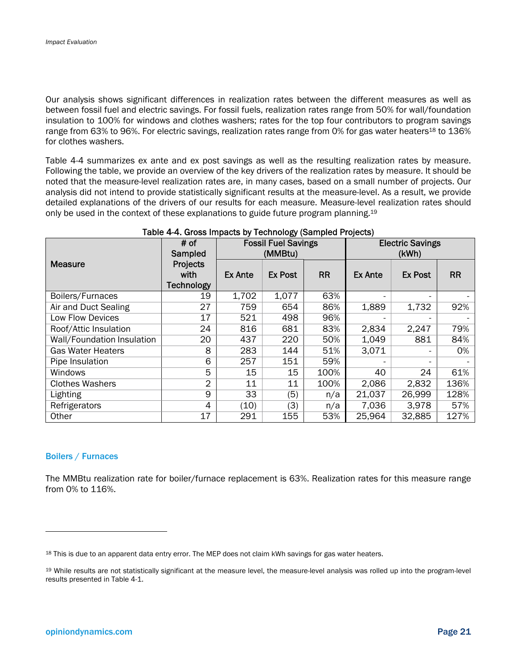Our analysis shows significant differences in realization rates between the different measures as well as between fossil fuel and electric savings. For fossil fuels, realization rates range from 50% for wall/foundation insulation to 100% for windows and clothes washers; rates for the top four contributors to program savings range from 63% to 96%. For electric savings, realization rates range from 0% for gas water heaters<sup>18</sup> to 136% for clothes washers.

Table 4-4 summarizes ex ante and ex post savings as well as the resulting realization rates by measure. Following the table, we provide an overview of the key drivers of the realization rates by measure. It should be noted that the measure-level realization rates are, in many cases, based on a small number of projects. Our analysis did not intend to provide statistically significant results at the measure-level. As a result, we provide detailed explanations of the drivers of our results for each measure. Measure-level realization rates should only be used in the context of these explanations to guide future program planning.19

|                            | # of<br>Sampled                              | <b>Fossil Fuel Savings</b><br>(MMBtu) |                |           | <b>Electric Savings</b><br>(kWh) |                |           |
|----------------------------|----------------------------------------------|---------------------------------------|----------------|-----------|----------------------------------|----------------|-----------|
| Measure                    | <b>Projects</b><br>with<br><b>Technology</b> | <b>Ex Ante</b>                        | <b>Ex Post</b> | <b>RR</b> | <b>Ex Ante</b>                   | <b>Ex Post</b> | <b>RR</b> |
| Boilers/Furnaces           | 19                                           | 1,702                                 | 1,077          | 63%       |                                  |                |           |
| Air and Duct Sealing       | 27                                           | 759                                   | 654            | 86%       | 1,889                            | 1,732          | 92%       |
| Low Flow Devices           | 17                                           | 521                                   | 498            | 96%       |                                  |                |           |
| Roof/Attic Insulation      | 24                                           | 816                                   | 681            | 83%       | 2,834                            | 2,247          | 79%       |
| Wall/Foundation Insulation | 20                                           | 437                                   | 220            | 50%       | 1,049                            | 881            | 84%       |
| <b>Gas Water Heaters</b>   | 8                                            | 283                                   | 144            | 51%       | 3,071                            |                | 0%        |
| Pipe Insulation            | 6                                            | 257                                   | 151            | 59%       |                                  |                |           |
| Windows                    | 5                                            | 15                                    | 15             | 100%      | 40                               | 24             | 61%       |
| <b>Clothes Washers</b>     | $\overline{2}$                               | 11                                    | 11             | 100%      | 2,086                            | 2,832          | 136%      |
| Lighting                   | 9                                            | 33                                    | (5)            | n/a       | 21,037                           | 26,999         | 128%      |
| Refrigerators              | 4                                            | (10)                                  | (3)            | n/a       | 7,036                            | 3,978          | 57%       |
| Other                      | 17                                           | 291                                   | 155            | 53%       | 25,964                           | 32,885         | 127%      |

#### Table 4-4. Gross Impacts by Technology (Sampled Projects)

#### Boilers / Furnaces

l

The MMBtu realization rate for boiler/furnace replacement is 63%. Realization rates for this measure range from 0% to 116%.

<sup>18</sup> This is due to an apparent data entry error. The MEP does not claim kWh savings for gas water heaters.

<sup>19</sup> While results are not statistically significant at the measure level, the measure-level analysis was rolled up into the program-level results presented in Table 4-1.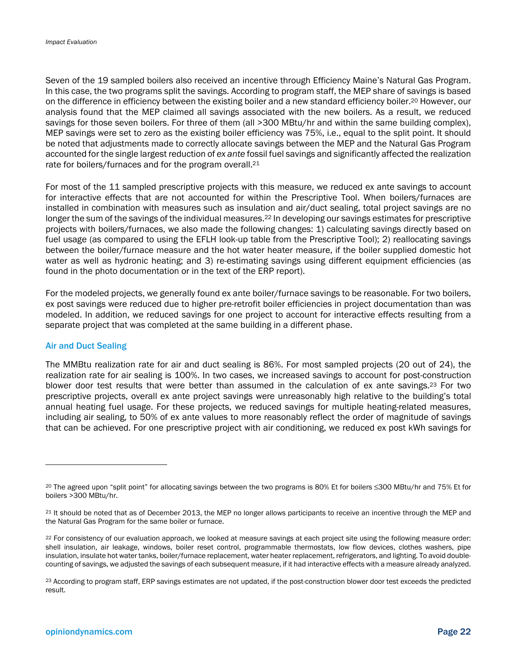Seven of the 19 sampled boilers also received an incentive through Efficiency Maine's Natural Gas Program. In this case, the two programs split the savings. According to program staff, the MEP share of savings is based on the difference in efficiency between the existing boiler and a new standard efficiency boiler.20 However, our analysis found that the MEP claimed all savings associated with the new boilers. As a result, we reduced savings for those seven boilers. For three of them (all >300 MBtu/hr and within the same building complex), MEP savings were set to zero as the existing boiler efficiency was 75%, i.e., equal to the split point. It should be noted that adjustments made to correctly allocate savings between the MEP and the Natural Gas Program accounted for the single largest reduction of *ex ante* fossil fuel savings and significantly affected the realization rate for boilers/furnaces and for the program overall.21

For most of the 11 sampled prescriptive projects with this measure, we reduced ex ante savings to account for interactive effects that are not accounted for within the Prescriptive Tool. When boilers/furnaces are installed in combination with measures such as insulation and air/duct sealing, total project savings are no longer the sum of the savings of the individual measures.<sup>22</sup> In developing our savings estimates for prescriptive projects with boilers/furnaces, we also made the following changes: 1) calculating savings directly based on fuel usage (as compared to using the EFLH look-up table from the Prescriptive Tool); 2) reallocating savings between the boiler/furnace measure and the hot water heater measure, if the boiler supplied domestic hot water as well as hydronic heating; and 3) re-estimating savings using different equipment efficiencies (as found in the photo documentation or in the text of the ERP report).

For the modeled projects, we generally found ex ante boiler/furnace savings to be reasonable. For two boilers, ex post savings were reduced due to higher pre-retrofit boiler efficiencies in project documentation than was modeled. In addition, we reduced savings for one project to account for interactive effects resulting from a separate project that was completed at the same building in a different phase.

#### Air and Duct Sealing

-

The MMBtu realization rate for air and duct sealing is 86%. For most sampled projects (20 out of 24), the realization rate for air sealing is 100%. In two cases, we increased savings to account for post-construction blower door test results that were better than assumed in the calculation of ex ante savings.<sup>23</sup> For two prescriptive projects, overall ex ante project savings were unreasonably high relative to the building's total annual heating fuel usage. For these projects, we reduced savings for multiple heating-related measures, including air sealing, to 50% of ex ante values to more reasonably reflect the order of magnitude of savings that can be achieved. For one prescriptive project with air conditioning, we reduced ex post kWh savings for

<sup>20</sup> The agreed upon "split point" for allocating savings between the two programs is 80% Et for boilers ≤300 MBtu/hr and 75% Et for boilers >300 MBtu/hr.

<sup>21</sup> It should be noted that as of December 2013, the MEP no longer allows participants to receive an incentive through the MEP and the Natural Gas Program for the same boiler or furnace.

<sup>&</sup>lt;sup>22</sup> For consistency of our evaluation approach, we looked at measure savings at each project site using the following measure order: shell insulation, air leakage, windows, boiler reset control, programmable thermostats, low flow devices, clothes washers, pipe insulation, insulate hot water tanks, boiler/furnace replacement, water heater replacement, refrigerators, and lighting. To avoid doublecounting of savings, we adjusted the savings of each subsequent measure, if it had interactive effects with a measure already analyzed.

<sup>23</sup> According to program staff, ERP savings estimates are not updated, if the post-construction blower door test exceeds the predicted result.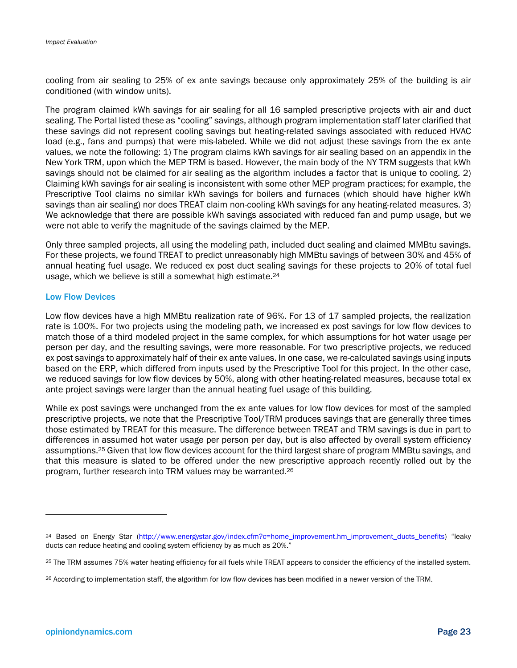cooling from air sealing to 25% of ex ante savings because only approximately 25% of the building is air conditioned (with window units).

The program claimed kWh savings for air sealing for all 16 sampled prescriptive projects with air and duct sealing. The Portal listed these as "cooling" savings, although program implementation staff later clarified that these savings did not represent cooling savings but heating-related savings associated with reduced HVAC load (e.g., fans and pumps) that were mis-labeled. While we did not adjust these savings from the ex ante values, we note the following: 1) The program claims kWh savings for air sealing based on an appendix in the New York TRM, upon which the MEP TRM is based. However, the main body of the NY TRM suggests that kWh savings should not be claimed for air sealing as the algorithm includes a factor that is unique to cooling. 2) Claiming kWh savings for air sealing is inconsistent with some other MEP program practices; for example, the Prescriptive Tool claims no similar kWh savings for boilers and furnaces (which should have higher kWh savings than air sealing) nor does TREAT claim non-cooling kWh savings for any heating-related measures. 3) We acknowledge that there are possible kWh savings associated with reduced fan and pump usage, but we were not able to verify the magnitude of the savings claimed by the MEP.

Only three sampled projects, all using the modeling path, included duct sealing and claimed MMBtu savings. For these projects, we found TREAT to predict unreasonably high MMBtu savings of between 30% and 45% of annual heating fuel usage. We reduced ex post duct sealing savings for these projects to 20% of total fuel usage, which we believe is still a somewhat high estimate.24

#### Low Flow Devices

Low flow devices have a high MMBtu realization rate of 96%. For 13 of 17 sampled projects, the realization rate is 100%. For two projects using the modeling path, we increased ex post savings for low flow devices to match those of a third modeled project in the same complex, for which assumptions for hot water usage per person per day, and the resulting savings, were more reasonable. For two prescriptive projects, we reduced ex post savings to approximately half of their ex ante values. In one case, we re-calculated savings using inputs based on the ERP, which differed from inputs used by the Prescriptive Tool for this project. In the other case, we reduced savings for low flow devices by 50%, along with other heating-related measures, because total ex ante project savings were larger than the annual heating fuel usage of this building.

While ex post savings were unchanged from the ex ante values for low flow devices for most of the sampled prescriptive projects, we note that the Prescriptive Tool/TRM produces savings that are generally three times those estimated by TREAT for this measure. The difference between TREAT and TRM savings is due in part to differences in assumed hot water usage per person per day, but is also affected by overall system efficiency assumptions.25 Given that low flow devices account for the third largest share of program MMBtu savings, and that this measure is slated to be offered under the new prescriptive approach recently rolled out by the program, further research into TRM values may be warranted.26

-

<sup>&</sup>lt;sup>24</sup> Based on Energy Star (http://www.energystar.gov/index.cfm?c=home\_improvement.hm\_improvement\_ducts\_benefits) "leaky ducts can reduce heating and cooling system efficiency by as much as 20%."

<sup>25</sup> The TRM assumes 75% water heating efficiency for all fuels while TREAT appears to consider the efficiency of the installed system.

<sup>&</sup>lt;sup>26</sup> According to implementation staff, the algorithm for low flow devices has been modified in a newer version of the TRM.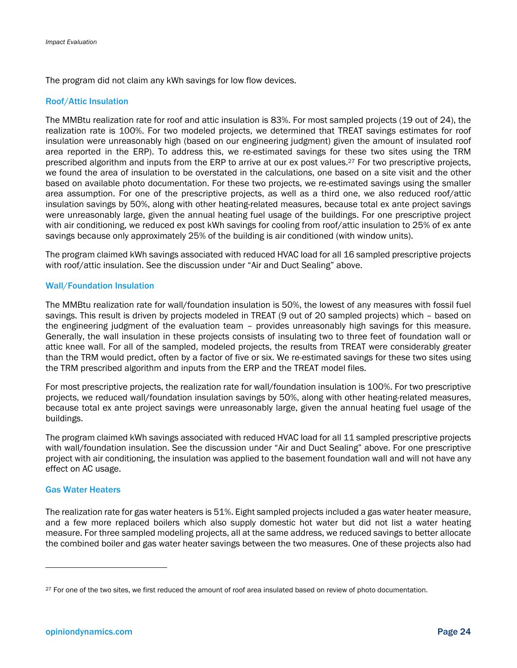The program did not claim any kWh savings for low flow devices.

#### Roof/Attic Insulation

The MMBtu realization rate for roof and attic insulation is 83%. For most sampled projects (19 out of 24), the realization rate is 100%. For two modeled projects, we determined that TREAT savings estimates for roof insulation were unreasonably high (based on our engineering judgment) given the amount of insulated roof area reported in the ERP). To address this, we re-estimated savings for these two sites using the TRM prescribed algorithm and inputs from the ERP to arrive at our ex post values.27 For two prescriptive projects, we found the area of insulation to be overstated in the calculations, one based on a site visit and the other based on available photo documentation. For these two projects, we re-estimated savings using the smaller area assumption. For one of the prescriptive projects, as well as a third one, we also reduced roof/attic insulation savings by 50%, along with other heating-related measures, because total ex ante project savings were unreasonably large, given the annual heating fuel usage of the buildings. For one prescriptive project with air conditioning, we reduced ex post kWh savings for cooling from roof/attic insulation to 25% of ex ante savings because only approximately 25% of the building is air conditioned (with window units).

The program claimed kWh savings associated with reduced HVAC load for all 16 sampled prescriptive projects with roof/attic insulation. See the discussion under "Air and Duct Sealing" above.

#### Wall/Foundation Insulation

The MMBtu realization rate for wall/foundation insulation is 50%, the lowest of any measures with fossil fuel savings. This result is driven by projects modeled in TREAT (9 out of 20 sampled projects) which – based on the engineering judgment of the evaluation team – provides unreasonably high savings for this measure. Generally, the wall insulation in these projects consists of insulating two to three feet of foundation wall or attic knee wall. For all of the sampled, modeled projects, the results from TREAT were considerably greater than the TRM would predict, often by a factor of five or six. We re-estimated savings for these two sites using the TRM prescribed algorithm and inputs from the ERP and the TREAT model files.

For most prescriptive projects, the realization rate for wall/foundation insulation is 100%. For two prescriptive projects, we reduced wall/foundation insulation savings by 50%, along with other heating-related measures, because total ex ante project savings were unreasonably large, given the annual heating fuel usage of the buildings.

The program claimed kWh savings associated with reduced HVAC load for all 11 sampled prescriptive projects with wall/foundation insulation. See the discussion under "Air and Duct Sealing" above. For one prescriptive project with air conditioning, the insulation was applied to the basement foundation wall and will not have any effect on AC usage.

#### Gas Water Heaters

 $\overline{a}$ 

The realization rate for gas water heaters is 51%. Eight sampled projects included a gas water heater measure, and a few more replaced boilers which also supply domestic hot water but did not list a water heating measure. For three sampled modeling projects, all at the same address, we reduced savings to better allocate the combined boiler and gas water heater savings between the two measures. One of these projects also had

<sup>&</sup>lt;sup>27</sup> For one of the two sites, we first reduced the amount of roof area insulated based on review of photo documentation.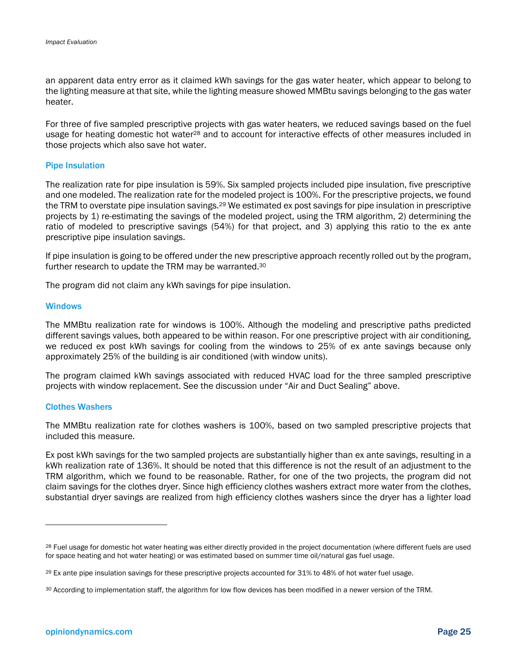an apparent data entry error as it claimed kWh savings for the gas water heater, which appear to belong to the lighting measure at that site, while the lighting measure showed MMBtu savings belonging to the gas water heater.

For three of five sampled prescriptive projects with gas water heaters, we reduced savings based on the fuel usage for heating domestic hot water<sup>28</sup> and to account for interactive effects of other measures included in those projects which also save hot water.

#### Pipe Insulation

The realization rate for pipe insulation is 59%. Six sampled projects included pipe insulation, five prescriptive and one modeled. The realization rate for the modeled project is 100%. For the prescriptive projects, we found the TRM to overstate pipe insulation savings.<sup>29</sup> We estimated ex post savings for pipe insulation in prescriptive projects by 1) re-estimating the savings of the modeled project, using the TRM algorithm, 2) determining the ratio of modeled to prescriptive savings (54%) for that project, and 3) applying this ratio to the ex ante prescriptive pipe insulation savings.

If pipe insulation is going to be offered under the new prescriptive approach recently rolled out by the program, further research to update the TRM may be warranted.30

The program did not claim any kWh savings for pipe insulation.

#### **Windows**

The MMBtu realization rate for windows is 100%. Although the modeling and prescriptive paths predicted different savings values, both appeared to be within reason. For one prescriptive project with air conditioning, we reduced ex post kWh savings for cooling from the windows to 25% of ex ante savings because only approximately 25% of the building is air conditioned (with window units).

The program claimed kWh savings associated with reduced HVAC load for the three sampled prescriptive projects with window replacement. See the discussion under "Air and Duct Sealing" above.

#### Clothes Washers

1

The MMBtu realization rate for clothes washers is 100%, based on two sampled prescriptive projects that included this measure.

Ex post kWh savings for the two sampled projects are substantially higher than ex ante savings, resulting in a kWh realization rate of 136%. It should be noted that this difference is not the result of an adjustment to the TRM algorithm, which we found to be reasonable. Rather, for one of the two projects, the program did not claim savings for the clothes dryer. Since high efficiency clothes washers extract more water from the clothes, substantial dryer savings are realized from high efficiency clothes washers since the dryer has a lighter load

<sup>&</sup>lt;sup>28</sup> Fuel usage for domestic hot water heating was either directly provided in the project documentation (where different fuels are used for space heating and hot water heating) or was estimated based on summer time oil/natural gas fuel usage.

<sup>29</sup> Ex ante pipe insulation savings for these prescriptive projects accounted for 31% to 48% of hot water fuel usage.

<sup>30</sup> According to implementation staff, the algorithm for low flow devices has been modified in a newer version of the TRM.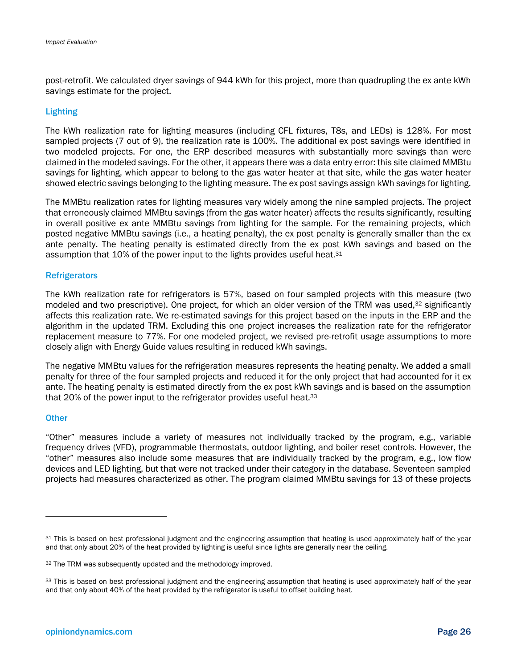post-retrofit. We calculated dryer savings of 944 kWh for this project, more than quadrupling the ex ante kWh savings estimate for the project.

#### Lighting

The kWh realization rate for lighting measures (including CFL fixtures, T8s, and LEDs) is 128%. For most sampled projects (7 out of 9), the realization rate is 100%. The additional ex post savings were identified in two modeled projects. For one, the ERP described measures with substantially more savings than were claimed in the modeled savings. For the other, it appears there was a data entry error: this site claimed MMBtu savings for lighting, which appear to belong to the gas water heater at that site, while the gas water heater showed electric savings belonging to the lighting measure. The ex post savings assign kWh savings for lighting.

The MMBtu realization rates for lighting measures vary widely among the nine sampled projects. The project that erroneously claimed MMBtu savings (from the gas water heater) affects the results significantly, resulting in overall positive ex ante MMBtu savings from lighting for the sample. For the remaining projects, which posted negative MMBtu savings (i.e., a heating penalty), the ex post penalty is generally smaller than the ex ante penalty. The heating penalty is estimated directly from the ex post kWh savings and based on the assumption that 10% of the power input to the lights provides useful heat.<sup>31</sup>

#### **Refrigerators**

The kWh realization rate for refrigerators is 57%, based on four sampled projects with this measure (two modeled and two prescriptive). One project, for which an older version of the TRM was used,<sup>32</sup> significantly affects this realization rate. We re-estimated savings for this project based on the inputs in the ERP and the algorithm in the updated TRM. Excluding this one project increases the realization rate for the refrigerator replacement measure to 77%. For one modeled project, we revised pre-retrofit usage assumptions to more closely align with Energy Guide values resulting in reduced kWh savings.

The negative MMBtu values for the refrigeration measures represents the heating penalty. We added a small penalty for three of the four sampled projects and reduced it for the only project that had accounted for it ex ante. The heating penalty is estimated directly from the ex post kWh savings and is based on the assumption that 20% of the power input to the refrigerator provides useful heat.33

#### **Other**

"Other" measures include a variety of measures not individually tracked by the program, e.g., variable frequency drives (VFD), programmable thermostats, outdoor lighting, and boiler reset controls. However, the "other" measures also include some measures that are individually tracked by the program, e.g., low flow devices and LED lighting, but that were not tracked under their category in the database. Seventeen sampled projects had measures characterized as other. The program claimed MMBtu savings for 13 of these projects

<sup>31</sup> This is based on best professional judgment and the engineering assumption that heating is used approximately half of the year and that only about 20% of the heat provided by lighting is useful since lights are generally near the ceiling.

<sup>32</sup> The TRM was subsequently updated and the methodology improved.

<sup>33</sup> This is based on best professional judgment and the engineering assumption that heating is used approximately half of the year and that only about 40% of the heat provided by the refrigerator is useful to offset building heat.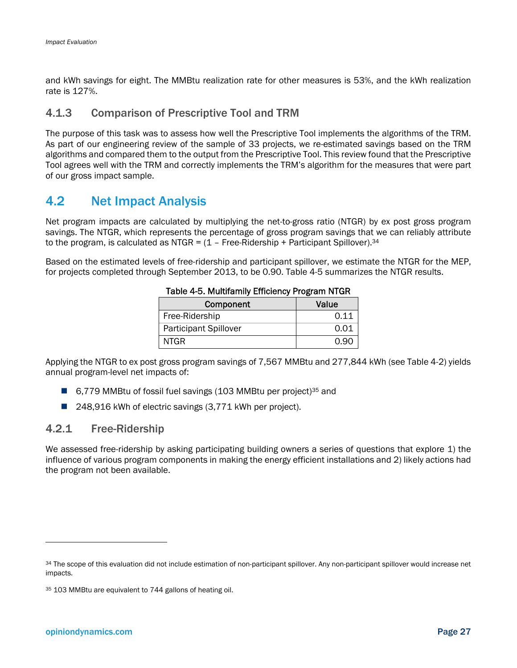and kWh savings for eight. The MMBtu realization rate for other measures is 53%, and the kWh realization rate is 127%.

## 4.1.3 Comparison of Prescriptive Tool and TRM

The purpose of this task was to assess how well the Prescriptive Tool implements the algorithms of the TRM. As part of our engineering review of the sample of 33 projects, we re-estimated savings based on the TRM algorithms and compared them to the output from the Prescriptive Tool. This review found that the Prescriptive Tool agrees well with the TRM and correctly implements the TRM's algorithm for the measures that were part of our gross impact sample.

## 4.2 Net Impact Analysis

Net program impacts are calculated by multiplying the net-to-gross ratio (NTGR) by ex post gross program savings. The NTGR, which represents the percentage of gross program savings that we can reliably attribute to the program, is calculated as NTGR =  $(1 -$  Free-Ridership + Participant Spillover).<sup>34</sup>

Based on the estimated levels of free-ridership and participant spillover, we estimate the NTGR for the MEP, for projects completed through September 2013, to be 0.90. Table 4-5 summarizes the NTGR results.

| Component                    | Value |  |  |
|------------------------------|-------|--|--|
| Free-Ridership               | 0.11  |  |  |
| <b>Participant Spillover</b> | 0.01  |  |  |
| NTGR.                        | N 90  |  |  |

#### Table 4-5. Multifamily Efficiency Program NTGR

Applying the NTGR to ex post gross program savings of 7,567 MMBtu and 277,844 kWh (see Table 4-2) yields annual program-level net impacts of:

- 6,779 MMBtu of fossil fuel savings (103 MMBtu per project)<sup>35</sup> and
- 248,916 kWh of electric savings (3,771 kWh per project).

### 4.2.1 Free-Ridership

We assessed free-ridership by asking participating building owners a series of questions that explore 1) the influence of various program components in making the energy efficient installations and 2) likely actions had the program not been available.

 $\overline{a}$ 

<sup>34</sup> The scope of this evaluation did not include estimation of non-participant spillover. Any non-participant spillover would increase net impacts.

<sup>35 103</sup> MMBtu are equivalent to 744 gallons of heating oil.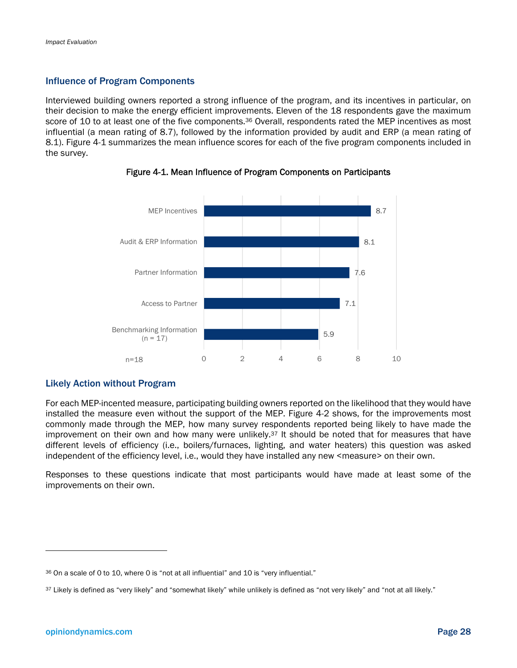#### Influence of Program Components

Interviewed building owners reported a strong influence of the program, and its incentives in particular, on their decision to make the energy efficient improvements. Eleven of the 18 respondents gave the maximum score of 10 to at least one of the five components.<sup>36</sup> Overall, respondents rated the MEP incentives as most influential (a mean rating of 8.7), followed by the information provided by audit and ERP (a mean rating of 8.1). Figure 4-1 summarizes the mean influence scores for each of the five program components included in the survey.



Figure 4-1. Mean Influence of Program Components on Participants

### Likely Action without Program

For each MEP-incented measure, participating building owners reported on the likelihood that they would have installed the measure even without the support of the MEP. Figure 4-2 shows, for the improvements most commonly made through the MEP, how many survey respondents reported being likely to have made the improvement on their own and how many were unlikely.<sup>37</sup> It should be noted that for measures that have different levels of efficiency (i.e., boilers/furnaces, lighting, and water heaters) this question was asked independent of the efficiency level, i.e., would they have installed any new <measure> on their own.

Responses to these questions indicate that most participants would have made at least some of the improvements on their own.

l

<sup>36</sup> On a scale of 0 to 10, where 0 is "not at all influential" and 10 is "very influential."

<sup>37</sup> Likely is defined as "very likely" and "somewhat likely" while unlikely is defined as "not very likely" and "not at all likely."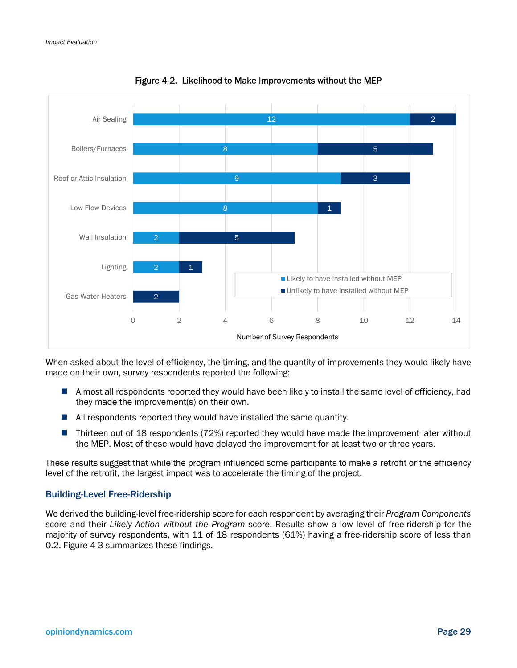

Figure 4-2. Likelihood to Make Improvements without the MEP

When asked about the level of efficiency, the timing, and the quantity of improvements they would likely have made on their own, survey respondents reported the following:

- **Almost all respondents reported they would have been likely to install the same level of efficiency, had** they made the improvement(s) on their own.
- All respondents reported they would have installed the same quantity.
- Thirteen out of 18 respondents (72%) reported they would have made the improvement later without the MEP. Most of these would have delayed the improvement for at least two or three years.

These results suggest that while the program influenced some participants to make a retrofit or the efficiency level of the retrofit, the largest impact was to accelerate the timing of the project.

#### Building-Level Free-Ridership

We derived the building-level free-ridership score for each respondent by averaging their *Program Components* score and their *Likely Action without the Program* score. Results show a low level of free-ridership for the majority of survey respondents, with 11 of 18 respondents (61%) having a free-ridership score of less than 0.2. Figure 4-3 summarizes these findings.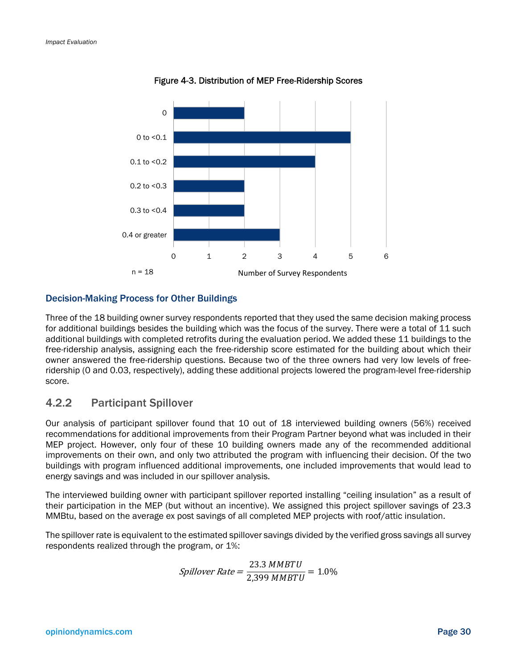

Figure 4-3. Distribution of MEP Free-Ridership Scores

#### Decision-Making Process for Other Buildings

Three of the 18 building owner survey respondents reported that they used the same decision making process for additional buildings besides the building which was the focus of the survey. There were a total of 11 such additional buildings with completed retrofits during the evaluation period. We added these 11 buildings to the free-ridership analysis, assigning each the free-ridership score estimated for the building about which their owner answered the free-ridership questions. Because two of the three owners had very low levels of freeridership (0 and 0.03, respectively), adding these additional projects lowered the program-level free-ridership score.

### 4.2.2 Participant Spillover

Our analysis of participant spillover found that 10 out of 18 interviewed building owners (56%) received recommendations for additional improvements from their Program Partner beyond what was included in their MEP project. However, only four of these 10 building owners made any of the recommended additional improvements on their own, and only two attributed the program with influencing their decision. Of the two buildings with program influenced additional improvements, one included improvements that would lead to energy savings and was included in our spillover analysis.

The interviewed building owner with participant spillover reported installing "ceiling insulation" as a result of their participation in the MEP (but without an incentive). We assigned this project spillover savings of 23.3 MMBtu, based on the average ex post savings of all completed MEP projects with roof/attic insulation.

The spillover rate is equivalent to the estimated spillover savings divided by the verified gross savings all survey respondents realized through the program, or 1%:

$$
Spillover Rate = \frac{23.3 \, MMBTU}{2,399 \, MMBTU} = 1.0\%
$$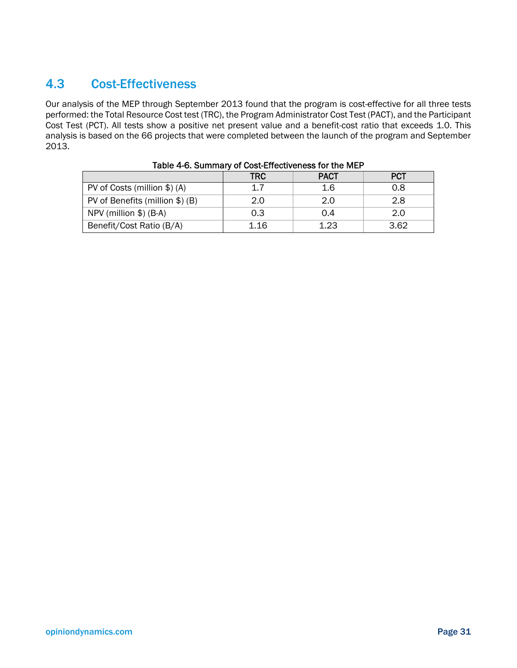## 4.3 Cost-Effectiveness

Our analysis of the MEP through September 2013 found that the program is cost-effective for all three tests performed: the Total Resource Cost test (TRC), the Program Administrator Cost Test (PACT), and the Participant Cost Test (PCT). All tests show a positive net present value and a benefit-cost ratio that exceeds 1.0. This analysis is based on the 66 projects that were completed between the launch of the program and September 2013.

|                                 | <b>TRC</b> | <b>PACT</b> | <b>PCT</b> |
|---------------------------------|------------|-------------|------------|
| PV of Costs (million \$) (A)    |            | 1.6         | 0.8        |
| PV of Benefits (million \$) (B) | 2.0        | 2.0         | 2.8        |
| NPV (million $$$ ) (B-A)        | 0.3        | 0.4         | 2.0        |
| Benefit/Cost Ratio (B/A)        | 1.16       | 1.23        | 3.62       |

| Table 4-6. Summary of Cost-Effectiveness for the MEP |  |  |
|------------------------------------------------------|--|--|
|------------------------------------------------------|--|--|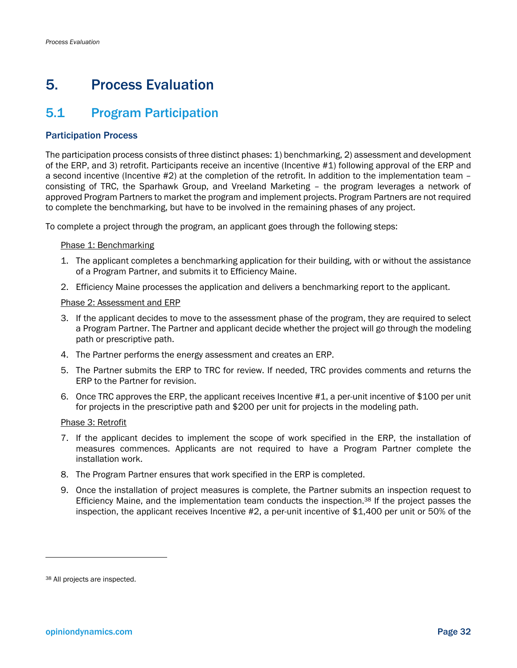## 5. Process Evaluation

## 5.1 Program Participation

### Participation Process

The participation process consists of three distinct phases: 1) benchmarking, 2) assessment and development of the ERP, and 3) retrofit. Participants receive an incentive (Incentive #1) following approval of the ERP and a second incentive (Incentive #2) at the completion of the retrofit. In addition to the implementation team – consisting of TRC, the Sparhawk Group, and Vreeland Marketing – the program leverages a network of approved Program Partners to market the program and implement projects. Program Partners are not required to complete the benchmarking, but have to be involved in the remaining phases of any project.

To complete a project through the program, an applicant goes through the following steps:

#### Phase 1: Benchmarking

- 1. The applicant completes a benchmarking application for their building, with or without the assistance of a Program Partner, and submits it to Efficiency Maine.
- 2. Efficiency Maine processes the application and delivers a benchmarking report to the applicant.

#### Phase 2: Assessment and ERP

- 3. If the applicant decides to move to the assessment phase of the program, they are required to select a Program Partner. The Partner and applicant decide whether the project will go through the modeling path or prescriptive path.
- 4. The Partner performs the energy assessment and creates an ERP.
- 5. The Partner submits the ERP to TRC for review. If needed, TRC provides comments and returns the ERP to the Partner for revision.
- 6. Once TRC approves the ERP, the applicant receives Incentive #1, a per-unit incentive of \$100 per unit for projects in the prescriptive path and \$200 per unit for projects in the modeling path.

#### Phase 3: Retrofit

- 7. If the applicant decides to implement the scope of work specified in the ERP, the installation of measures commences. Applicants are not required to have a Program Partner complete the installation work.
- 8. The Program Partner ensures that work specified in the ERP is completed.
- 9. Once the installation of project measures is complete, the Partner submits an inspection request to Efficiency Maine, and the implementation team conducts the inspection.38 If the project passes the inspection, the applicant receives Incentive #2, a per-unit incentive of \$1,400 per unit or 50% of the

<sup>38</sup> All projects are inspected.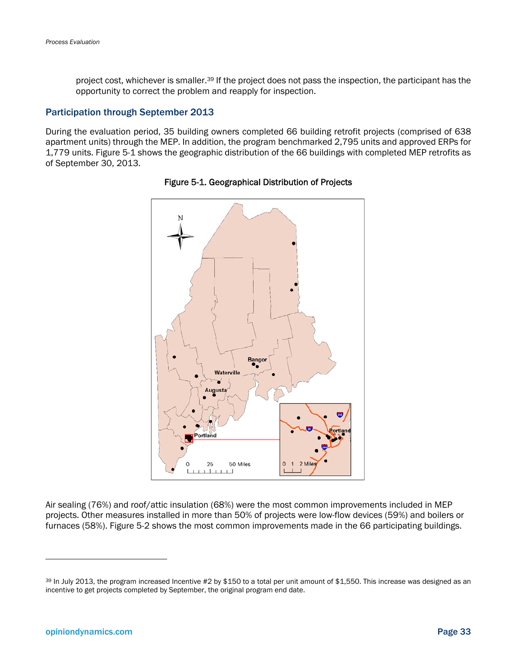project cost, whichever is smaller.<sup>39</sup> If the project does not pass the inspection, the participant has the opportunity to correct the problem and reapply for inspection.

#### Participation through September 2013

During the evaluation period, 35 building owners completed 66 building retrofit projects (comprised of 638 apartment units) through the MEP. In addition, the program benchmarked 2,795 units and approved ERPs for 1,779 units. Figure 5-1 shows the geographic distribution of the 66 buildings with completed MEP retrofits as of September 30, 2013.



#### Figure 5-1. Geographical Distribution of Projects

Air sealing (76%) and roof/attic insulation (68%) were the most common improvements included in MEP projects. Other measures installed in more than 50% of projects were low-flow devices (59%) and boilers or furnaces (58%). Figure 5-2 shows the most common improvements made in the 66 participating buildings.

 $\overline{a}$ 

 $39$  In July 2013, the program increased Incentive #2 by \$150 to a total per unit amount of \$1,550. This increase was designed as an incentive to get projects completed by September, the original program end date.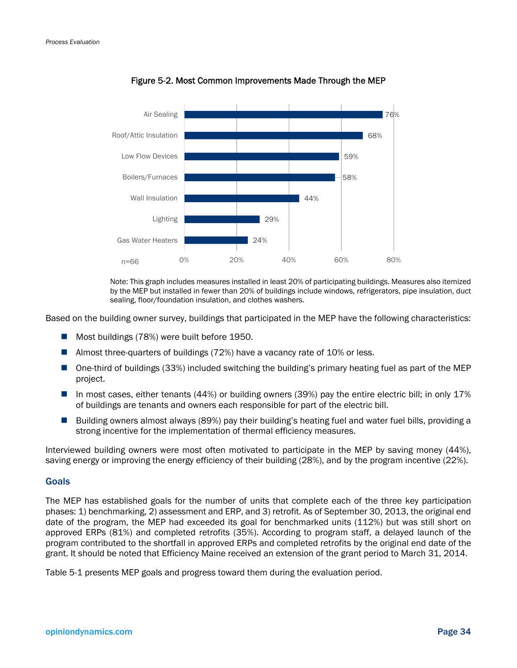

Figure 5-2. Most Common Improvements Made Through the MEP

Note: This graph includes measures installed in least 20% of participating buildings. Measures also itemized by the MEP but installed in fewer than 20% of buildings include windows, refrigerators, pipe insulation, duct sealing, floor/foundation insulation, and clothes washers.

Based on the building owner survey, buildings that participated in the MEP have the following characteristics:

- Most buildings (78%) were built before 1950.
- Almost three-quarters of buildings (72%) have a vacancy rate of 10% or less.
- One-third of buildings (33%) included switching the building's primary heating fuel as part of the MEP project.
- In most cases, either tenants (44%) or building owners (39%) pay the entire electric bill; in only 17% of buildings are tenants and owners each responsible for part of the electric bill.
- Building owners almost always (89%) pay their building's heating fuel and water fuel bills, providing a strong incentive for the implementation of thermal efficiency measures.

Interviewed building owners were most often motivated to participate in the MEP by saving money (44%), saving energy or improving the energy efficiency of their building (28%), and by the program incentive (22%).

#### Goals

The MEP has established goals for the number of units that complete each of the three key participation phases: 1) benchmarking, 2) assessment and ERP, and 3) retrofit. As of September 30, 2013, the original end date of the program, the MEP had exceeded its goal for benchmarked units (112%) but was still short on approved ERPs (81%) and completed retrofits (35%). According to program staff, a delayed launch of the program contributed to the shortfall in approved ERPs and completed retrofits by the original end date of the grant. It should be noted that Efficiency Maine received an extension of the grant period to March 31, 2014.

Table 5-1 presents MEP goals and progress toward them during the evaluation period.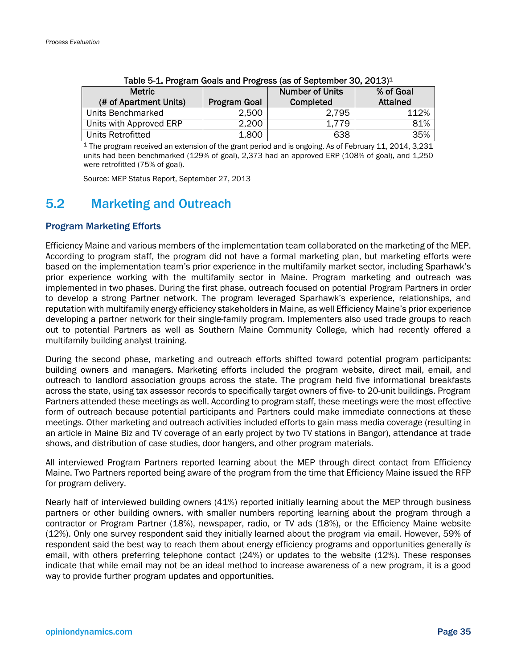| <b>Metric</b>           |                     | <b>Number of Units</b> | % of Goal       |
|-------------------------|---------------------|------------------------|-----------------|
|                         |                     |                        |                 |
| (# of Apartment Units)  | <b>Program Goal</b> | Completed              | <b>Attained</b> |
| Units Benchmarked       | 2,500               | 2,795                  | 112%            |
| Units with Approved ERP | 2,200               | 1.779                  | 81%             |
| Units Retrofitted       | 1,800               | 638                    | 35%             |

| Table 5-1. Program Goals and Progress (as of September 30, 2013) <sup>1</sup> |
|-------------------------------------------------------------------------------|
|-------------------------------------------------------------------------------|

1 The program received an extension of the grant period and is ongoing. As of February 11, 2014, 3,231 units had been benchmarked (129% of goal), 2,373 had an approved ERP (108% of goal), and 1,250 were retrofitted (75% of goal).

Source: MEP Status Report, September 27, 2013

## 5.2 Marketing and Outreach

### Program Marketing Efforts

Efficiency Maine and various members of the implementation team collaborated on the marketing of the MEP. According to program staff, the program did not have a formal marketing plan, but marketing efforts were based on the implementation team's prior experience in the multifamily market sector, including Sparhawk's prior experience working with the multifamily sector in Maine. Program marketing and outreach was implemented in two phases. During the first phase, outreach focused on potential Program Partners in order to develop a strong Partner network. The program leveraged Sparhawk's experience, relationships, and reputation with multifamily energy efficiency stakeholders in Maine, as well Efficiency Maine's prior experience developing a partner network for their single-family program. Implementers also used trade groups to reach out to potential Partners as well as Southern Maine Community College, which had recently offered a multifamily building analyst training.

During the second phase, marketing and outreach efforts shifted toward potential program participants: building owners and managers. Marketing efforts included the program website, direct mail, email, and outreach to landlord association groups across the state. The program held five informational breakfasts across the state, using tax assessor records to specifically target owners of five- to 20-unit buildings. Program Partners attended these meetings as well. According to program staff, these meetings were the most effective form of outreach because potential participants and Partners could make immediate connections at these meetings. Other marketing and outreach activities included efforts to gain mass media coverage (resulting in an article in Maine Biz and TV coverage of an early project by two TV stations in Bangor), attendance at trade shows, and distribution of case studies, door hangers, and other program materials.

All interviewed Program Partners reported learning about the MEP through direct contact from Efficiency Maine. Two Partners reported being aware of the program from the time that Efficiency Maine issued the RFP for program delivery.

Nearly half of interviewed building owners (41%) reported initially learning about the MEP through business partners or other building owners, with smaller numbers reporting learning about the program through a contractor or Program Partner (18%), newspaper, radio, or TV ads (18%), or the Efficiency Maine website (12%). Only one survey respondent said they initially learned about the program via email. However, 59% of respondent said the best way to reach them about energy efficiency programs and opportunities generally *is* email, with others preferring telephone contact (24%) or updates to the website (12%). These responses indicate that while email may not be an ideal method to increase awareness of a new program, it is a good way to provide further program updates and opportunities.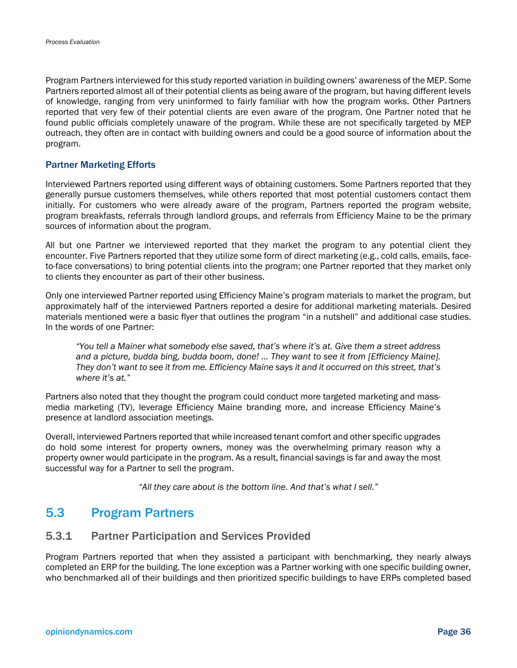Program Partners interviewed for this study reported variation in building owners' awareness of the MEP. Some Partners reported almost all of their potential clients as being aware of the program, but having different levels of knowledge, ranging from very uninformed to fairly familiar with how the program works. Other Partners reported that very few of their potential clients are even aware of the program. One Partner noted that he found public officials completely unaware of the program. While these are not specifically targeted by MEP outreach, they often are in contact with building owners and could be a good source of information about the program.

#### Partner Marketing Efforts

Interviewed Partners reported using different ways of obtaining customers. Some Partners reported that they generally pursue customers themselves, while others reported that most potential customers contact them initially. For customers who were already aware of the program, Partners reported the program website, program breakfasts, referrals through landlord groups, and referrals from Efficiency Maine to be the primary sources of information about the program.

All but one Partner we interviewed reported that they market the program to any potential client they encounter. Five Partners reported that they utilize some form of direct marketing (e.g., cold calls, emails, faceto-face conversations) to bring potential clients into the program; one Partner reported that they market only to clients they encounter as part of their other business.

Only one interviewed Partner reported using Efficiency Maine's program materials to market the program, but approximately half of the interviewed Partners reported a desire for additional marketing materials. Desired materials mentioned were a basic flyer that outlines the program "in a nutshell" and additional case studies. In the words of one Partner:

*"You tell a Mainer what somebody else saved, that's where it's at. Give them a street address and a picture, budda bing, budda boom, done! … They want to see it from [Efficiency Maine]. They don't want to see it from me. Efficiency Maine says it and it occurred on this street, that's where it's at."* 

Partners also noted that they thought the program could conduct more targeted marketing and massmedia marketing (TV), leverage Efficiency Maine branding more, and increase Efficiency Maine's presence at landlord association meetings.

Overall, interviewed Partners reported that while increased tenant comfort and other specific upgrades do hold some interest for property owners, money was the overwhelming primary reason why a property owner would participate in the program. As a result, financial savings is far and away the most successful way for a Partner to sell the program.

*"All they care about is the bottom line. And that's what I sell."*

## 5.3 Program Partners

### 5.3.1 Partner Participation and Services Provided

Program Partners reported that when they assisted a participant with benchmarking, they nearly always completed an ERP for the building. The lone exception was a Partner working with one specific building owner, who benchmarked all of their buildings and then prioritized specific buildings to have ERPs completed based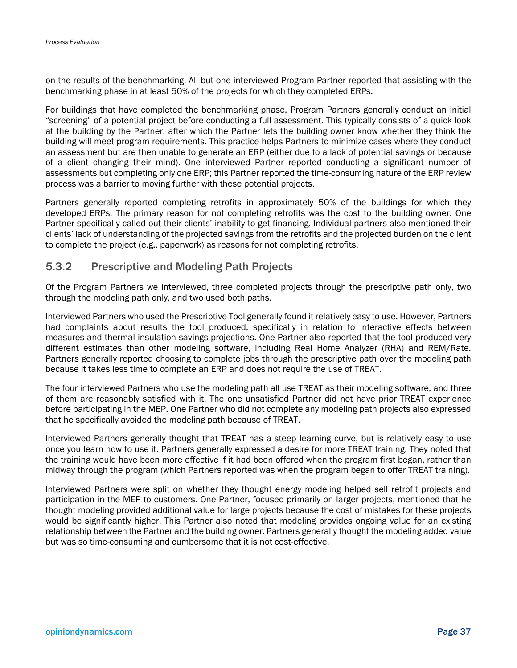on the results of the benchmarking. All but one interviewed Program Partner reported that assisting with the benchmarking phase in at least 50% of the projects for which they completed ERPs.

For buildings that have completed the benchmarking phase, Program Partners generally conduct an initial "screening" of a potential project before conducting a full assessment. This typically consists of a quick look at the building by the Partner, after which the Partner lets the building owner know whether they think the building will meet program requirements. This practice helps Partners to minimize cases where they conduct an assessment but are then unable to generate an ERP (either due to a lack of potential savings or because of a client changing their mind). One interviewed Partner reported conducting a significant number of assessments but completing only one ERP; this Partner reported the time-consuming nature of the ERP review process was a barrier to moving further with these potential projects.

Partners generally reported completing retrofits in approximately 50% of the buildings for which they developed ERPs. The primary reason for not completing retrofits was the cost to the building owner. One Partner specifically called out their clients' inability to get financing. Individual partners also mentioned their clients' lack of understanding of the projected savings from the retrofits and the projected burden on the client to complete the project (e.g., paperwork) as reasons for not completing retrofits.

## 5.3.2 Prescriptive and Modeling Path Projects

Of the Program Partners we interviewed, three completed projects through the prescriptive path only, two through the modeling path only, and two used both paths.

Interviewed Partners who used the Prescriptive Tool generally found it relatively easy to use. However, Partners had complaints about results the tool produced, specifically in relation to interactive effects between measures and thermal insulation savings projections. One Partner also reported that the tool produced very different estimates than other modeling software, including Real Home Analyzer (RHA) and REM/Rate. Partners generally reported choosing to complete jobs through the prescriptive path over the modeling path because it takes less time to complete an ERP and does not require the use of TREAT.

The four interviewed Partners who use the modeling path all use TREAT as their modeling software, and three of them are reasonably satisfied with it. The one unsatisfied Partner did not have prior TREAT experience before participating in the MEP. One Partner who did not complete any modeling path projects also expressed that he specifically avoided the modeling path because of TREAT.

Interviewed Partners generally thought that TREAT has a steep learning curve, but is relatively easy to use once you learn how to use it. Partners generally expressed a desire for more TREAT training. They noted that the training would have been more effective if it had been offered when the program first began, rather than midway through the program (which Partners reported was when the program began to offer TREAT training).

Interviewed Partners were split on whether they thought energy modeling helped sell retrofit projects and participation in the MEP to customers. One Partner, focused primarily on larger projects, mentioned that he thought modeling provided additional value for large projects because the cost of mistakes for these projects would be significantly higher. This Partner also noted that modeling provides ongoing value for an existing relationship between the Partner and the building owner. Partners generally thought the modeling added value but was so time-consuming and cumbersome that it is not cost-effective.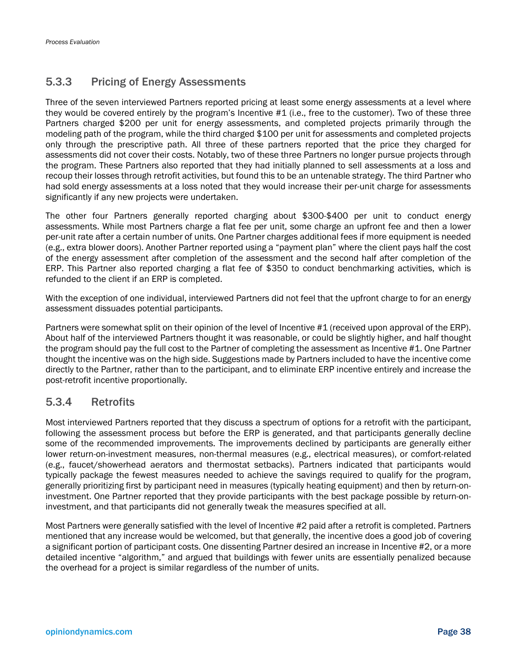## 5.3.3 Pricing of Energy Assessments

Three of the seven interviewed Partners reported pricing at least some energy assessments at a level where they would be covered entirely by the program's Incentive #1 (i.e., free to the customer). Two of these three Partners charged \$200 per unit for energy assessments, and completed projects primarily through the modeling path of the program, while the third charged \$100 per unit for assessments and completed projects only through the prescriptive path. All three of these partners reported that the price they charged for assessments did not cover their costs. Notably, two of these three Partners no longer pursue projects through the program. These Partners also reported that they had initially planned to sell assessments at a loss and recoup their losses through retrofit activities, but found this to be an untenable strategy. The third Partner who had sold energy assessments at a loss noted that they would increase their per-unit charge for assessments significantly if any new projects were undertaken.

The other four Partners generally reported charging about \$300-\$400 per unit to conduct energy assessments. While most Partners charge a flat fee per unit, some charge an upfront fee and then a lower per-unit rate after a certain number of units. One Partner charges additional fees if more equipment is needed (e.g., extra blower doors). Another Partner reported using a "payment plan" where the client pays half the cost of the energy assessment after completion of the assessment and the second half after completion of the ERP. This Partner also reported charging a flat fee of \$350 to conduct benchmarking activities, which is refunded to the client if an ERP is completed.

With the exception of one individual, interviewed Partners did not feel that the upfront charge to for an energy assessment dissuades potential participants.

Partners were somewhat split on their opinion of the level of Incentive #1 (received upon approval of the ERP). About half of the interviewed Partners thought it was reasonable, or could be slightly higher, and half thought the program should pay the full cost to the Partner of completing the assessment as Incentive #1. One Partner thought the incentive was on the high side. Suggestions made by Partners included to have the incentive come directly to the Partner, rather than to the participant, and to eliminate ERP incentive entirely and increase the post-retrofit incentive proportionally.

## 5.3.4 Retrofits

Most interviewed Partners reported that they discuss a spectrum of options for a retrofit with the participant, following the assessment process but before the ERP is generated, and that participants generally decline some of the recommended improvements. The improvements declined by participants are generally either lower return-on-investment measures, non-thermal measures (e.g., electrical measures), or comfort-related (e.g., faucet/showerhead aerators and thermostat setbacks). Partners indicated that participants would typically package the fewest measures needed to achieve the savings required to qualify for the program, generally prioritizing first by participant need in measures (typically heating equipment) and then by return-oninvestment. One Partner reported that they provide participants with the best package possible by return-oninvestment, and that participants did not generally tweak the measures specified at all.

Most Partners were generally satisfied with the level of Incentive #2 paid after a retrofit is completed. Partners mentioned that any increase would be welcomed, but that generally, the incentive does a good job of covering a significant portion of participant costs. One dissenting Partner desired an increase in Incentive #2, or a more detailed incentive "algorithm," and argued that buildings with fewer units are essentially penalized because the overhead for a project is similar regardless of the number of units.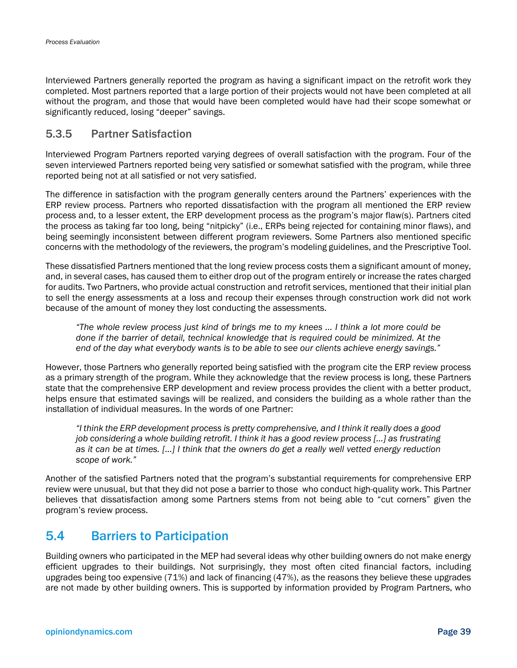Interviewed Partners generally reported the program as having a significant impact on the retrofit work they completed. Most partners reported that a large portion of their projects would not have been completed at all without the program, and those that would have been completed would have had their scope somewhat or significantly reduced, losing "deeper" savings.

## 5.3.5 Partner Satisfaction

Interviewed Program Partners reported varying degrees of overall satisfaction with the program. Four of the seven interviewed Partners reported being very satisfied or somewhat satisfied with the program, while three reported being not at all satisfied or not very satisfied.

The difference in satisfaction with the program generally centers around the Partners' experiences with the ERP review process. Partners who reported dissatisfaction with the program all mentioned the ERP review process and, to a lesser extent, the ERP development process as the program's major flaw(s). Partners cited the process as taking far too long, being "nitpicky" (i.e., ERPs being rejected for containing minor flaws), and being seemingly inconsistent between different program reviewers. Some Partners also mentioned specific concerns with the methodology of the reviewers, the program's modeling guidelines, and the Prescriptive Tool.

These dissatisfied Partners mentioned that the long review process costs them a significant amount of money, and, in several cases, has caused them to either drop out of the program entirely or increase the rates charged for audits. Two Partners, who provide actual construction and retrofit services, mentioned that their initial plan to sell the energy assessments at a loss and recoup their expenses through construction work did not work because of the amount of money they lost conducting the assessments.

*"The whole review process just kind of brings me to my knees … I think a lot more could be done if the barrier of detail, technical knowledge that is required could be minimized. At the end of the day what everybody wants is to be able to see our clients achieve energy savings."* 

However, those Partners who generally reported being satisfied with the program cite the ERP review process as a primary strength of the program. While they acknowledge that the review process is long, these Partners state that the comprehensive ERP development and review process provides the client with a better product, helps ensure that estimated savings will be realized, and considers the building as a whole rather than the installation of individual measures. In the words of one Partner:

*"I think the ERP development process is pretty comprehensive, and I think it really does a good job considering a whole building retrofit. I think it has a good review process […] as frustrating as it can be at times. […] I think that the owners do get a really well vetted energy reduction scope of work."*

Another of the satisfied Partners noted that the program's substantial requirements for comprehensive ERP review were unusual, but that they did not pose a barrier to those who conduct high-quality work. This Partner believes that dissatisfaction among some Partners stems from not being able to "cut corners" given the program's review process.

## 5.4 Barriers to Participation

Building owners who participated in the MEP had several ideas why other building owners do not make energy efficient upgrades to their buildings. Not surprisingly, they most often cited financial factors, including upgrades being too expensive (71%) and lack of financing (47%), as the reasons they believe these upgrades are not made by other building owners. This is supported by information provided by Program Partners, who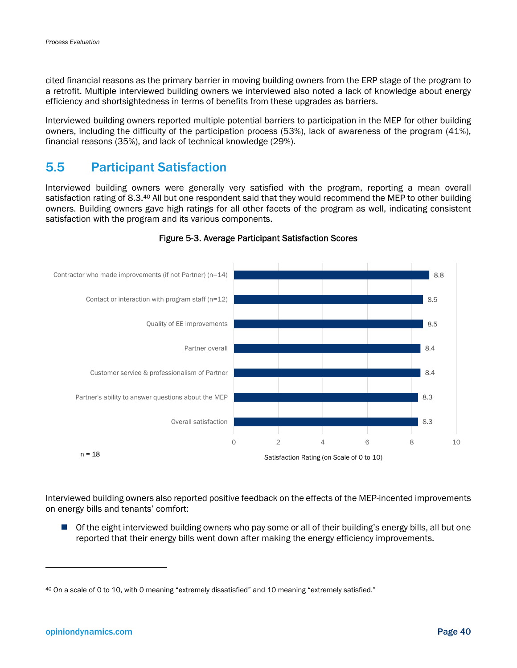cited financial reasons as the primary barrier in moving building owners from the ERP stage of the program to a retrofit. Multiple interviewed building owners we interviewed also noted a lack of knowledge about energy efficiency and shortsightedness in terms of benefits from these upgrades as barriers.

Interviewed building owners reported multiple potential barriers to participation in the MEP for other building owners, including the difficulty of the participation process (53%), lack of awareness of the program (41%), financial reasons (35%), and lack of technical knowledge (29%).

## 5.5 Participant Satisfaction

Interviewed building owners were generally very satisfied with the program, reporting a mean overall satisfaction rating of 8.3.40 All but one respondent said that they would recommend the MEP to other building owners. Building owners gave high ratings for all other facets of the program as well, indicating consistent satisfaction with the program and its various components.



#### Figure 5-3. Average Participant Satisfaction Scores

Interviewed building owners also reported positive feedback on the effects of the MEP-incented improvements on energy bills and tenants' comfort:

**Of the eight interviewed building owners who pay some or all of their building's energy bills, all but one** reported that their energy bills went down after making the energy efficiency improvements.

-

<sup>40</sup> On a scale of 0 to 10, with 0 meaning "extremely dissatisfied" and 10 meaning "extremely satisfied."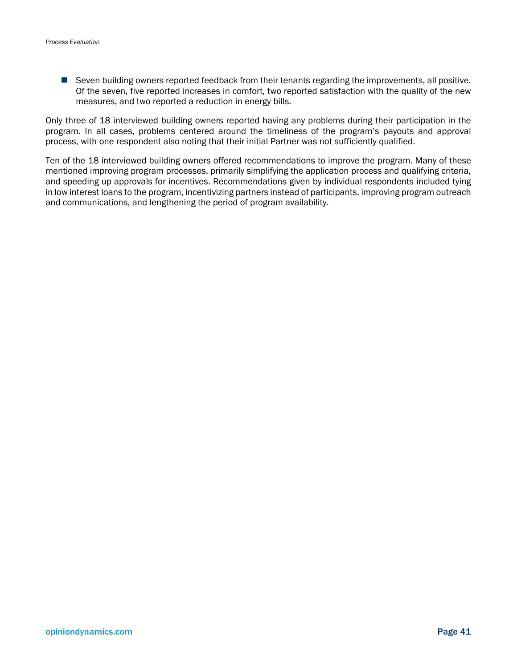**Seven building owners reported feedback from their tenants regarding the improvements, all positive.** Of the seven, five reported increases in comfort, two reported satisfaction with the quality of the new measures, and two reported a reduction in energy bills.

Only three of 18 interviewed building owners reported having any problems during their participation in the program. In all cases, problems centered around the timeliness of the program's payouts and approval process, with one respondent also noting that their initial Partner was not sufficiently qualified.

Ten of the 18 interviewed building owners offered recommendations to improve the program. Many of these mentioned improving program processes, primarily simplifying the application process and qualifying criteria, and speeding up approvals for incentives. Recommendations given by individual respondents included tying in low interest loans to the program, incentivizing partners instead of participants, improving program outreach and communications, and lengthening the period of program availability.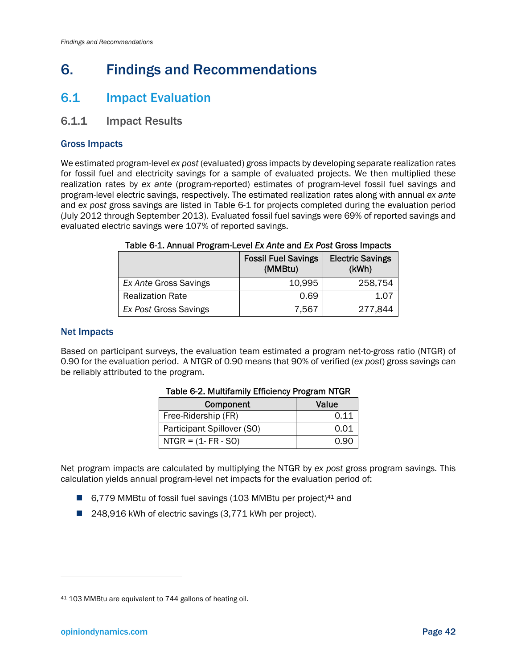## 6. Findings and Recommendations

## 6.1 Impact Evaluation

### 6.1.1 Impact Results

### Gross Impacts

We estimated program-level *ex post* (evaluated) gross impacts by developing separate realization rates for fossil fuel and electricity savings for a sample of evaluated projects. We then multiplied these realization rates by *ex ante* (program-reported) estimates of program-level fossil fuel savings and program-level electric savings, respectively. The estimated realization rates along with annual *ex ante* and *ex post* gross savings are listed in Table 6-1 for projects completed during the evaluation period (July 2012 through September 2013). Evaluated fossil fuel savings were 69% of reported savings and evaluated electric savings were 107% of reported savings.

|                         | <b>Fossil Fuel Savings</b><br>(MMBtu) | <b>Electric Savings</b><br>(kWh) |
|-------------------------|---------------------------------------|----------------------------------|
| Ex Ante Gross Savings   | 10,995                                | 258.754                          |
| <b>Realization Rate</b> | 0.69                                  | 1.07                             |
| Ex Post Gross Savings   | 7.567                                 | 277,844                          |

#### Table 6-1. Annual Program-Level *Ex Ante* and *Ex Post* Gross Impacts

#### Net Impacts

Based on participant surveys, the evaluation team estimated a program net-to-gross ratio (NTGR) of 0.90 for the evaluation period. A NTGR of 0.90 means that 90% of verified (*ex post*) gross savings can be reliably attributed to the program.

| Component                  | Value |
|----------------------------|-------|
| Free-Ridership (FR)        | 0.11  |
| Participant Spillover (SO) | 0.01  |
| $NTGR = (1 - FR - SO)$     | 0.90  |

#### Table 6-2. Multifamily Efficiency Program NTGR

Net program impacts are calculated by multiplying the NTGR by *ex post* gross program savings. This calculation yields annual program-level net impacts for the evaluation period of:

- 6,779 MMBtu of fossil fuel savings (103 MMBtu per project)<sup>41</sup> and
- 248,916 kWh of electric savings (3,771 kWh per project).

-

<sup>41 103</sup> MMBtu are equivalent to 744 gallons of heating oil.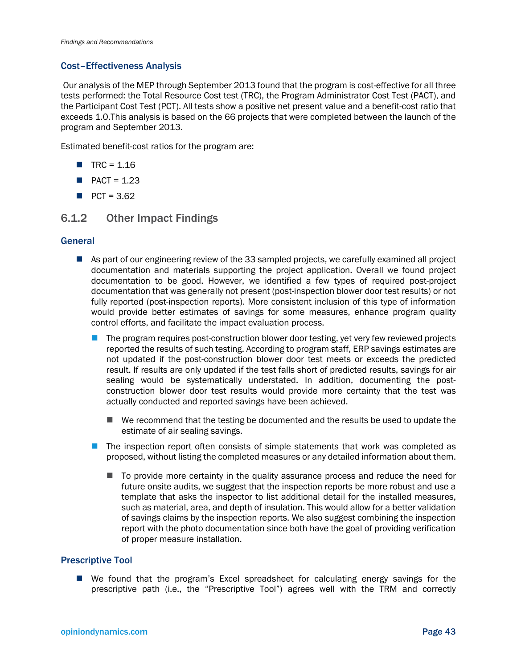#### Cost–Effectiveness Analysis

 Our analysis of the MEP through September 2013 found that the program is cost-effective for all three tests performed: the Total Resource Cost test (TRC), the Program Administrator Cost Test (PACT), and the Participant Cost Test (PCT). All tests show a positive net present value and a benefit-cost ratio that exceeds 1.0.This analysis is based on the 66 projects that were completed between the launch of the program and September 2013.

Estimated benefit-cost ratios for the program are:

- $TRC = 1.16$
- $\blacksquare$  PACT = 1.23
- $PCT = 3.62$

### 6.1.2 Other Impact Findings

#### **General**

- As part of our engineering review of the 33 sampled projects, we carefully examined all project documentation and materials supporting the project application. Overall we found project documentation to be good. However, we identified a few types of required post-project documentation that was generally not present (post-inspection blower door test results) or not fully reported (post-inspection reports). More consistent inclusion of this type of information would provide better estimates of savings for some measures, enhance program quality control efforts, and facilitate the impact evaluation process.
	- The program requires post-construction blower door testing, yet very few reviewed projects reported the results of such testing. According to program staff, ERP savings estimates are not updated if the post-construction blower door test meets or exceeds the predicted result. If results are only updated if the test falls short of predicted results, savings for air sealing would be systematically understated. In addition, documenting the postconstruction blower door test results would provide more certainty that the test was actually conducted and reported savings have been achieved.
		- $\blacksquare$  We recommend that the testing be documented and the results be used to update the estimate of air sealing savings.
	- The inspection report often consists of simple statements that work was completed as proposed, without listing the completed measures or any detailed information about them.
		- To provide more certainty in the quality assurance process and reduce the need for future onsite audits, we suggest that the inspection reports be more robust and use a template that asks the inspector to list additional detail for the installed measures, such as material, area, and depth of insulation. This would allow for a better validation of savings claims by the inspection reports. We also suggest combining the inspection report with the photo documentation since both have the goal of providing verification of proper measure installation.

#### Prescriptive Tool

 We found that the program's Excel spreadsheet for calculating energy savings for the prescriptive path (i.e., the "Prescriptive Tool") agrees well with the TRM and correctly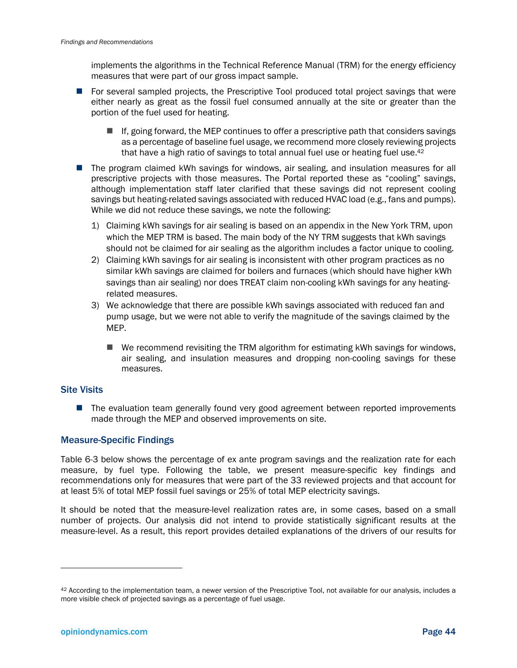implements the algorithms in the Technical Reference Manual (TRM) for the energy efficiency measures that were part of our gross impact sample.

- **For several sampled projects, the Prescriptive Tool produced total project savings that were** either nearly as great as the fossil fuel consumed annually at the site or greater than the portion of the fuel used for heating.
	- $\blacksquare$  If, going forward, the MEP continues to offer a prescriptive path that considers savings as a percentage of baseline fuel usage, we recommend more closely reviewing projects that have a high ratio of savings to total annual fuel use or heating fuel use.<sup>42</sup>
- The program claimed kWh savings for windows, air sealing, and insulation measures for all prescriptive projects with those measures. The Portal reported these as "cooling" savings, although implementation staff later clarified that these savings did not represent cooling savings but heating-related savings associated with reduced HVAC load (e.g., fans and pumps). While we did not reduce these savings, we note the following:
	- 1) Claiming kWh savings for air sealing is based on an appendix in the New York TRM, upon which the MEP TRM is based. The main body of the NY TRM suggests that kWh savings should not be claimed for air sealing as the algorithm includes a factor unique to cooling.
	- 2) Claiming kWh savings for air sealing is inconsistent with other program practices as no similar kWh savings are claimed for boilers and furnaces (which should have higher kWh savings than air sealing) nor does TREAT claim non-cooling kWh savings for any heatingrelated measures.
	- 3) We acknowledge that there are possible kWh savings associated with reduced fan and pump usage, but we were not able to verify the magnitude of the savings claimed by the MEP.
		- $\blacksquare$  We recommend revisiting the TRM algorithm for estimating kWh savings for windows, air sealing, and insulation measures and dropping non-cooling savings for these measures.

#### Site Visits

**The evaluation team generally found very good agreement between reported improvements** made through the MEP and observed improvements on site.

### Measure-Specific Findings

Table 6-3 below shows the percentage of ex ante program savings and the realization rate for each measure, by fuel type. Following the table, we present measure-specific key findings and recommendations only for measures that were part of the 33 reviewed projects and that account for at least 5% of total MEP fossil fuel savings or 25% of total MEP electricity savings.

It should be noted that the measure-level realization rates are, in some cases, based on a small number of projects. Our analysis did not intend to provide statistically significant results at the measure-level. As a result, this report provides detailed explanations of the drivers of our results for

l

<sup>42</sup> According to the implementation team, a newer version of the Prescriptive Tool, not available for our analysis, includes a more visible check of projected savings as a percentage of fuel usage.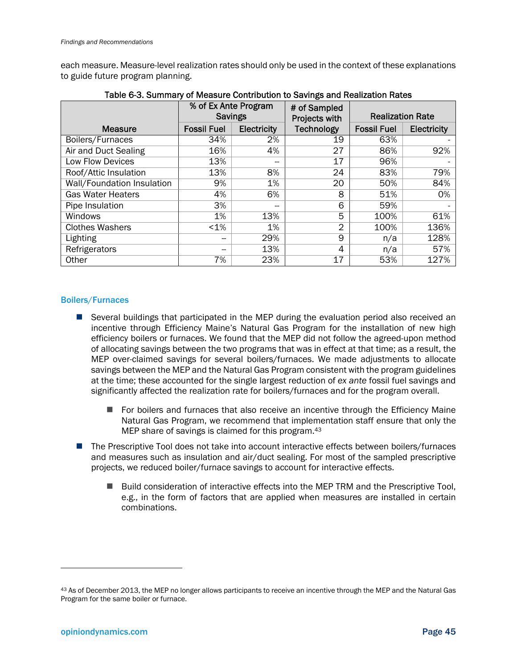each measure. Measure-level realization rates should only be used in the context of these explanations to guide future program planning.

|                            | % of Ex Ante Program<br><b>Savings</b> |             | # of Sampled<br>Projects with | <b>Realization Rate</b> |             |
|----------------------------|----------------------------------------|-------------|-------------------------------|-------------------------|-------------|
| <b>Measure</b>             | <b>Fossil Fuel</b>                     | Electricity | <b>Technology</b>             | <b>Fossil Fuel</b>      | Electricity |
| Boilers/Furnaces           | 34%                                    | 2%          | 19                            | 63%                     |             |
| Air and Duct Sealing       | 16%                                    | 4%          | 27                            | 86%                     | 92%         |
| Low Flow Devices           | 13%                                    |             | 17                            | 96%                     |             |
| Roof/Attic Insulation      | 13%                                    | 8%          | 24                            | 83%                     | 79%         |
| Wall/Foundation Insulation | 9%                                     | 1%          | 20                            | 50%                     | 84%         |
| <b>Gas Water Heaters</b>   | 4%                                     | 6%          | 8                             | 51%                     | 0%          |
| Pipe Insulation            | 3%                                     | --          | 6                             | 59%                     |             |
| Windows                    | 1%                                     | 13%         | 5                             | 100%                    | 61%         |
| <b>Clothes Washers</b>     | $< 1\%$                                | 1%          | 2                             | 100%                    | 136%        |
| Lighting                   | --                                     | 29%         | 9                             | n/a                     | 128%        |
| Refrigerators              | --                                     | 13%         | 4                             | n/a                     | 57%         |
| Other                      | 7%                                     | 23%         | 17                            | 53%                     | 127%        |

| Table 6-3. Summary of Measure Contribution to Savings and Realization Rates |  |
|-----------------------------------------------------------------------------|--|
|-----------------------------------------------------------------------------|--|

#### Boilers/Furnaces

- Several buildings that participated in the MEP during the evaluation period also received an incentive through Efficiency Maine's Natural Gas Program for the installation of new high efficiency boilers or furnaces. We found that the MEP did not follow the agreed-upon method of allocating savings between the two programs that was in effect at that time; as a result, the MEP over-claimed savings for several boilers/furnaces. We made adjustments to allocate savings between the MEP and the Natural Gas Program consistent with the program guidelines at the time; these accounted for the single largest reduction of *ex ante* fossil fuel savings and significantly affected the realization rate for boilers/furnaces and for the program overall.
	- $\blacksquare$  For boilers and furnaces that also receive an incentive through the Efficiency Maine Natural Gas Program, we recommend that implementation staff ensure that only the MEP share of savings is claimed for this program.43
- The Prescriptive Tool does not take into account interactive effects between boilers/furnaces and measures such as insulation and air/duct sealing. For most of the sampled prescriptive projects, we reduced boiler/furnace savings to account for interactive effects.
	- Build consideration of interactive effects into the MEP TRM and the Prescriptive Tool, e.g., in the form of factors that are applied when measures are installed in certain combinations.

1

<sup>43</sup> As of December 2013, the MEP no longer allows participants to receive an incentive through the MEP and the Natural Gas Program for the same boiler or furnace.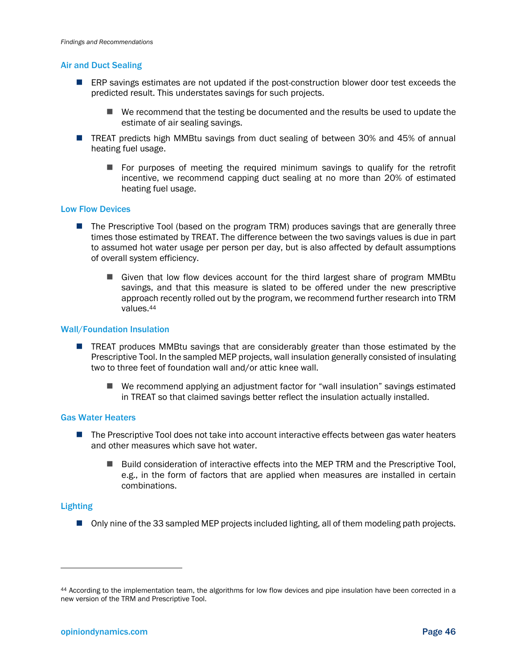#### Air and Duct Sealing

- ERP savings estimates are not updated if the post-construction blower door test exceeds the predicted result. This understates savings for such projects.
	- $\blacksquare$  We recommend that the testing be documented and the results be used to update the estimate of air sealing savings.
- TREAT predicts high MMBtu savings from duct sealing of between 30% and 45% of annual heating fuel usage.
	- $\blacksquare$  For purposes of meeting the required minimum savings to qualify for the retrofit incentive, we recommend capping duct sealing at no more than 20% of estimated heating fuel usage.

#### Low Flow Devices

- The Prescriptive Tool (based on the program TRM) produces savings that are generally three times those estimated by TREAT. The difference between the two savings values is due in part to assumed hot water usage per person per day, but is also affected by default assumptions of overall system efficiency.
	- Given that low flow devices account for the third largest share of program MMBtu savings, and that this measure is slated to be offered under the new prescriptive approach recently rolled out by the program, we recommend further research into TRM values.44

#### Wall/Foundation Insulation

- **TREAT produces MMBtu savings that are considerably greater than those estimated by the** Prescriptive Tool. In the sampled MEP projects, wall insulation generally consisted of insulating two to three feet of foundation wall and/or attic knee wall.
	- We recommend applying an adjustment factor for "wall insulation" savings estimated in TREAT so that claimed savings better reflect the insulation actually installed.

#### Gas Water Heaters

- The Prescriptive Tool does not take into account interactive effects between gas water heaters and other measures which save hot water.
	- Build consideration of interactive effects into the MEP TRM and the Prescriptive Tool, e.g., in the form of factors that are applied when measures are installed in certain combinations.

#### Lighting

1

■ Only nine of the 33 sampled MEP projects included lighting, all of them modeling path projects.

<sup>44</sup> According to the implementation team, the algorithms for low flow devices and pipe insulation have been corrected in a new version of the TRM and Prescriptive Tool.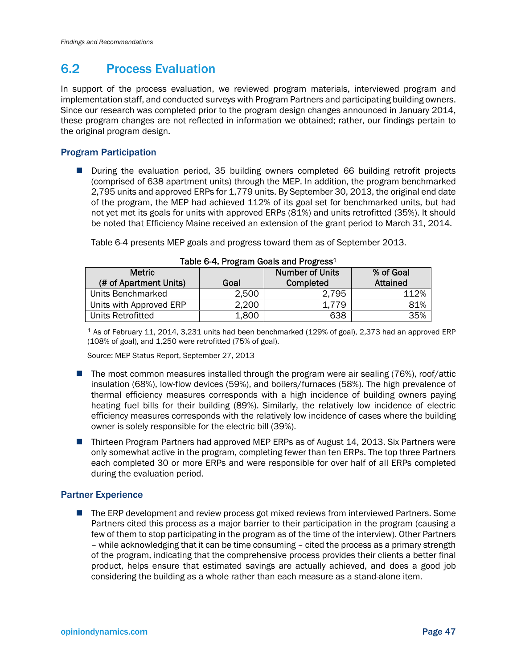## 6.2 Process Evaluation

In support of the process evaluation, we reviewed program materials, interviewed program and implementation staff, and conducted surveys with Program Partners and participating building owners. Since our research was completed prior to the program design changes announced in January 2014, these program changes are not reflected in information we obtained; rather, our findings pertain to the original program design.

### Program Participation

**During the evaluation period, 35 building owners completed 66 building retrofit projects** (comprised of 638 apartment units) through the MEP. In addition, the program benchmarked 2,795 units and approved ERPs for 1,779 units. By September 30, 2013, the original end date of the program, the MEP had achieved 112% of its goal set for benchmarked units, but had not yet met its goals for units with approved ERPs (81%) and units retrofitted (35%). It should be noted that Efficiency Maine received an extension of the grant period to March 31, 2014.

Table 6-4 presents MEP goals and progress toward them as of September 2013.

| <b>Metric</b>           |       | <b>Number of Units</b> | % of Goal       |  |  |
|-------------------------|-------|------------------------|-----------------|--|--|
| (# of Apartment Units)  | Goal  | Completed              | <b>Attained</b> |  |  |
| Units Benchmarked       | 2,500 | 2,795                  | 112%            |  |  |
| Units with Approved ERP | 2,200 | 1.779                  | 81%             |  |  |
| Units Retrofitted       | 1,800 | 638                    | 35%             |  |  |

|  |  | Table 6-4. Program Goals and Progress <sup>1</sup> |
|--|--|----------------------------------------------------|
|  |  |                                                    |

1 As of February 11, 2014, 3,231 units had been benchmarked (129% of goal), 2,373 had an approved ERP (108% of goal), and 1,250 were retrofitted (75% of goal).

Source: MEP Status Report, September 27, 2013

- The most common measures installed through the program were air sealing  $(76%)$ , roof/attic insulation (68%), low-flow devices (59%), and boilers/furnaces (58%). The high prevalence of thermal efficiency measures corresponds with a high incidence of building owners paying heating fuel bills for their building (89%). Similarly, the relatively low incidence of electric efficiency measures corresponds with the relatively low incidence of cases where the building owner is solely responsible for the electric bill (39%).
- Thirteen Program Partners had approved MEP ERPs as of August 14, 2013. Six Partners were only somewhat active in the program, completing fewer than ten ERPs. The top three Partners each completed 30 or more ERPs and were responsible for over half of all ERPs completed during the evaluation period.

### Partner Experience

■ The ERP development and review process got mixed reviews from interviewed Partners. Some Partners cited this process as a major barrier to their participation in the program (causing a few of them to stop participating in the program as of the time of the interview). Other Partners – while acknowledging that it can be time consuming – cited the process as a primary strength of the program, indicating that the comprehensive process provides their clients a better final product, helps ensure that estimated savings are actually achieved, and does a good job considering the building as a whole rather than each measure as a stand-alone item.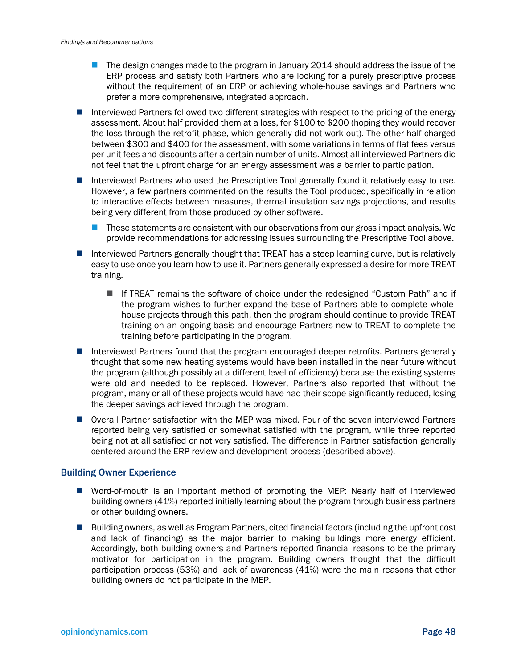- The design changes made to the program in January 2014 should address the issue of the ERP process and satisfy both Partners who are looking for a purely prescriptive process without the requirement of an ERP or achieving whole-house savings and Partners who prefer a more comprehensive, integrated approach.
- Interviewed Partners followed two different strategies with respect to the pricing of the energy assessment. About half provided them at a loss, for \$100 to \$200 (hoping they would recover the loss through the retrofit phase, which generally did not work out). The other half charged between \$300 and \$400 for the assessment, with some variations in terms of flat fees versus per unit fees and discounts after a certain number of units. Almost all interviewed Partners did not feel that the upfront charge for an energy assessment was a barrier to participation.
- Interviewed Partners who used the Prescriptive Tool generally found it relatively easy to use. However, a few partners commented on the results the Tool produced, specifically in relation to interactive effects between measures, thermal insulation savings projections, and results being very different from those produced by other software.
	- **These statements are consistent with our observations from our gross impact analysis. We** provide recommendations for addressing issues surrounding the Prescriptive Tool above.
- Interviewed Partners generally thought that TREAT has a steep learning curve, but is relatively easy to use once you learn how to use it. Partners generally expressed a desire for more TREAT training.
	- If TREAT remains the software of choice under the redesigned "Custom Path" and if the program wishes to further expand the base of Partners able to complete wholehouse projects through this path, then the program should continue to provide TREAT training on an ongoing basis and encourage Partners new to TREAT to complete the training before participating in the program.
- Interviewed Partners found that the program encouraged deeper retrofits. Partners generally thought that some new heating systems would have been installed in the near future without the program (although possibly at a different level of efficiency) because the existing systems were old and needed to be replaced. However, Partners also reported that without the program, many or all of these projects would have had their scope significantly reduced, losing the deeper savings achieved through the program.
- Overall Partner satisfaction with the MEP was mixed. Four of the seven interviewed Partners reported being very satisfied or somewhat satisfied with the program, while three reported being not at all satisfied or not very satisfied. The difference in Partner satisfaction generally centered around the ERP review and development process (described above).

#### Building Owner Experience

- Word-of-mouth is an important method of promoting the MEP: Nearly half of interviewed building owners (41%) reported initially learning about the program through business partners or other building owners.
- Building owners, as well as Program Partners, cited financial factors (including the upfront cost and lack of financing) as the major barrier to making buildings more energy efficient. Accordingly, both building owners and Partners reported financial reasons to be the primary motivator for participation in the program. Building owners thought that the difficult participation process (53%) and lack of awareness (41%) were the main reasons that other building owners do not participate in the MEP.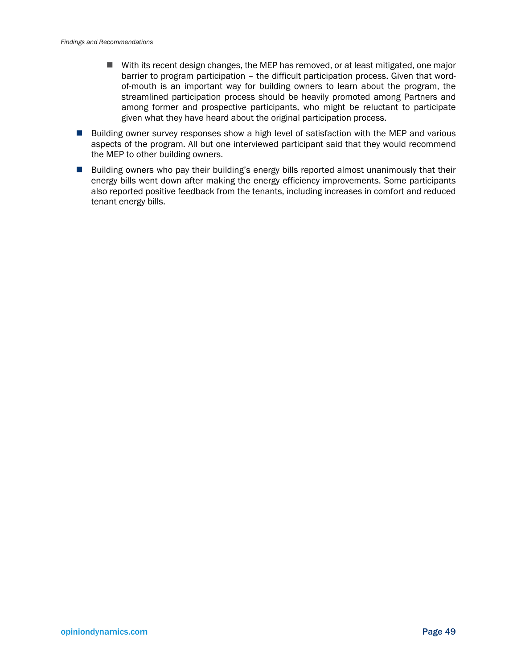- With its recent design changes, the MEP has removed, or at least mitigated, one major barrier to program participation – the difficult participation process. Given that wordof-mouth is an important way for building owners to learn about the program, the streamlined participation process should be heavily promoted among Partners and among former and prospective participants, who might be reluctant to participate given what they have heard about the original participation process.
- **Building owner survey responses show a high level of satisfaction with the MEP and various** aspects of the program. All but one interviewed participant said that they would recommend the MEP to other building owners.
- **Building owners who pay their building's energy bills reported almost unanimously that their** energy bills went down after making the energy efficiency improvements. Some participants also reported positive feedback from the tenants, including increases in comfort and reduced tenant energy bills.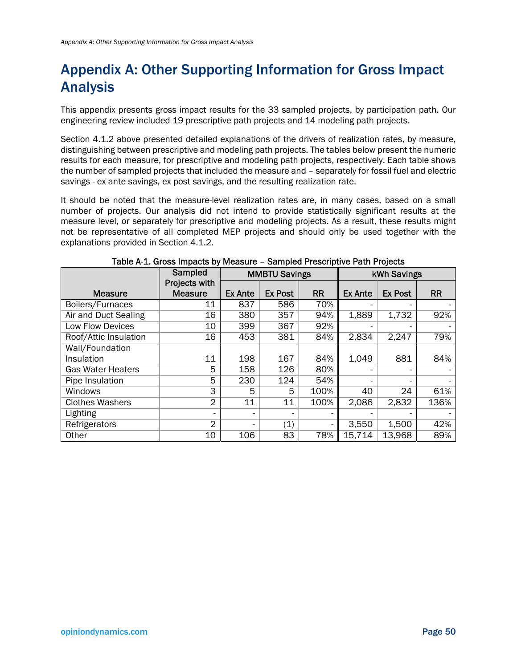## Appendix A: Other Supporting Information for Gross Impact Analysis

This appendix presents gross impact results for the 33 sampled projects, by participation path. Our engineering review included 19 prescriptive path projects and 14 modeling path projects.

Section 4.1.2 above presented detailed explanations of the drivers of realization rates, by measure, distinguishing between prescriptive and modeling path projects. The tables below present the numeric results for each measure, for prescriptive and modeling path projects, respectively. Each table shows the number of sampled projects that included the measure and – separately for fossil fuel and electric savings - ex ante savings, ex post savings, and the resulting realization rate.

It should be noted that the measure-level realization rates are, in many cases, based on a small number of projects. Our analysis did not intend to provide statistically significant results at the measure level, or separately for prescriptive and modeling projects. As a result, these results might not be representative of all completed MEP projects and should only be used together with the explanations provided in Section 4.1.2.

|                             | Sampled                         | <b>MMBTU Savings</b> |                |           | kWh Savings              |                |           |  |
|-----------------------------|---------------------------------|----------------------|----------------|-----------|--------------------------|----------------|-----------|--|
| <b>Measure</b>              | Projects with<br><b>Measure</b> | <b>Ex Ante</b>       | <b>Ex Post</b> | <b>RR</b> | <b>Ex Ante</b>           | <b>Ex Post</b> | <b>RR</b> |  |
| Boilers/Furnaces            | 11                              | 837                  | 586            | 70%       |                          |                |           |  |
| <b>Air and Duct Sealing</b> | 16                              | 380                  | 357            | 94%       | 1,889                    | 1,732          | 92%       |  |
| Low Flow Devices            | 10                              | 399                  | 367            | 92%       |                          |                |           |  |
| Roof/Attic Insulation       | 16                              | 453                  | 381            | 84%       | 2,834                    | 2,247          | 79%       |  |
| Wall/Foundation             |                                 |                      |                |           |                          |                |           |  |
| Insulation                  | 11                              | 198                  | 167            | 84%       | 1,049                    | 881            | 84%       |  |
| <b>Gas Water Heaters</b>    | 5                               | 158                  | 126            | 80%       | $\overline{\phantom{0}}$ |                |           |  |
| Pipe Insulation             | 5                               | 230                  | 124            | 54%       |                          |                |           |  |
| Windows                     | 3                               | 5                    | 5              | 100%      | 40                       | 24             | 61%       |  |
| <b>Clothes Washers</b>      | $\overline{2}$                  | 11                   | 11             | 100%      | 2,086                    | 2,832          | 136%      |  |
| Lighting                    |                                 | -                    |                |           |                          |                |           |  |
| Refrigerators               | 2                               |                      | (1)            |           | 3,550                    | 1,500          | 42%       |  |
| Other                       | 10                              | 106                  | 83             | 78%       | 15,714                   | 13,968         | 89%       |  |

#### Table A-1. Gross Impacts by Measure – Sampled Prescriptive Path Projects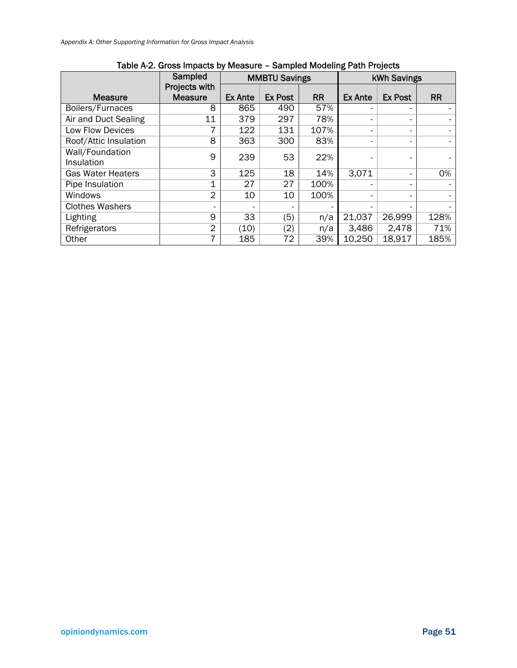|                          | Sampled        | <b>MMBTU Savings</b> |                |           | <b>kWh Savings</b> |                          |           |
|--------------------------|----------------|----------------------|----------------|-----------|--------------------|--------------------------|-----------|
|                          | Projects with  |                      |                |           |                    |                          |           |
| <b>Measure</b>           | <b>Measure</b> | <b>Ex Ante</b>       | <b>Ex Post</b> | <b>RR</b> | <b>Ex Ante</b>     | <b>Ex Post</b>           | <b>RR</b> |
| Boilers/Furnaces         | 8              | 865                  | 490            | 57%       |                    |                          |           |
| Air and Duct Sealing     | 11             | 379                  | 297            | 78%       |                    | $\overline{\phantom{a}}$ |           |
| Low Flow Devices         |                | 122                  | 131            | 107%      |                    | -                        |           |
| Roof/Attic Insulation    | 8              | 363                  | 300            | 83%       |                    | $\overline{\phantom{a}}$ |           |
| Wall/Foundation          | 9              | 239                  | 53             | 22%       |                    |                          |           |
| Insulation               |                |                      |                |           |                    | -                        |           |
| <b>Gas Water Heaters</b> | 3              | 125                  | 18             | 14%       | 3.071              | -                        | 0%        |
| Pipe Insulation          | $\mathbf 1$    | 27                   | 27             | 100%      |                    | $\overline{\phantom{a}}$ |           |
| Windows                  | $\overline{2}$ | 10                   | 10             | 100%      |                    |                          |           |
| <b>Clothes Washers</b>   |                | -                    |                |           |                    |                          |           |
| Lighting                 | $\overline{9}$ | 33                   | (5)            | n/a       | 21,037             | 26,999                   | 128%      |
| Refrigerators            | 2              | (10)                 | (2)            | n/a       | 3,486              | 2,478                    | 71%       |
| Other                    |                | 185                  | 72             | 39%       | 10,250             | 18.917                   | 185%      |

### Table A-2. Gross Impacts by Measure – Sampled Modeling Path Projects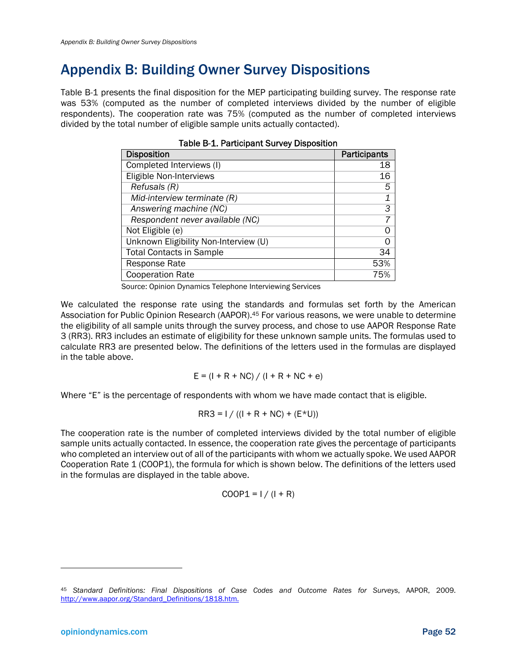## Appendix B: Building Owner Survey Dispositions

Table B-1 presents the final disposition for the MEP participating building survey. The response rate was 53% (computed as the number of completed interviews divided by the number of eligible respondents). The cooperation rate was 75% (computed as the number of completed interviews divided by the total number of eligible sample units actually contacted).

| <b>Disposition</b>                    | Participants |
|---------------------------------------|--------------|
| Completed Interviews (I)              | 18           |
| Eligible Non-Interviews               | 16           |
| Refusals (R)                          | 5            |
| Mid-interview terminate (R)           | 1            |
| Answering machine (NC)                | 3            |
| Respondent never available (NC)       |              |
| Not Eligible (e)                      | Ω            |
| Unknown Eligibility Non-Interview (U) | Ω            |
| <b>Total Contacts in Sample</b>       | 34           |
| <b>Response Rate</b>                  | 53%          |
| <b>Cooperation Rate</b>               | 75%          |

Source: Opinion Dynamics Telephone Interviewing Services

We calculated the response rate using the standards and formulas set forth by the American Association for Public Opinion Research (AAPOR).<sup>45</sup> For various reasons, we were unable to determine the eligibility of all sample units through the survey process, and chose to use AAPOR Response Rate 3 (RR3). RR3 includes an estimate of eligibility for these unknown sample units. The formulas used to calculate RR3 are presented below. The definitions of the letters used in the formulas are displayed in the table above.

$$
E = (I + R + NC) / (I + R + NC + e)
$$

Where "E" is the percentage of respondents with whom we have made contact that is eligible.

$$
RR3 = I / ((I + R + NC) + (E*U))
$$

The cooperation rate is the number of completed interviews divided by the total number of eligible sample units actually contacted. In essence, the cooperation rate gives the percentage of participants who completed an interview out of all of the participants with whom we actually spoke. We used AAPOR Cooperation Rate 1 (COOP1), the formula for which is shown below. The definitions of the letters used in the formulas are displayed in the table above.

$$
COOP1 = 1 / (1 + R)
$$

l

<sup>45</sup> *Standard Definitions: Final Dispositions of Case Codes and Outcome Rates for Surveys*, AAPOR, 2009. http://www.aapor.org/Standard\_Definitions/1818.htm.